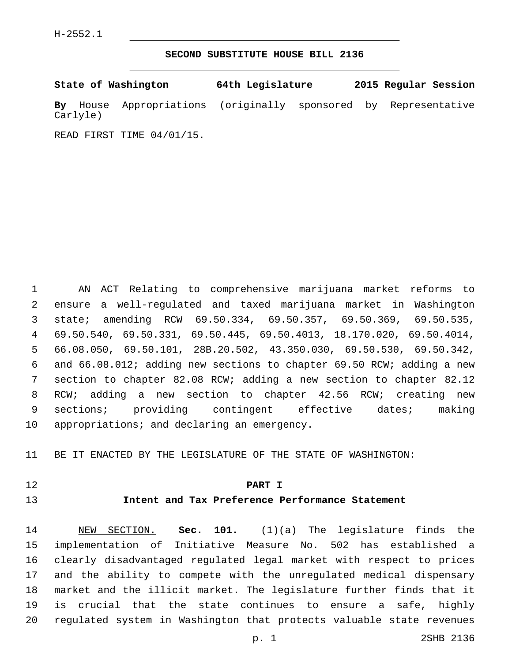H-2552.1

**SECOND SUBSTITUTE HOUSE BILL 2136**

|          | State of Washington                                             | 64th Legislature |  | 2015 Regular Session |  |
|----------|-----------------------------------------------------------------|------------------|--|----------------------|--|
| Carlyle) | By House Appropriations (originally sponsored by Representative |                  |  |                      |  |

READ FIRST TIME 04/01/15.

 AN ACT Relating to comprehensive marijuana market reforms to ensure a well-regulated and taxed marijuana market in Washington state; amending RCW 69.50.334, 69.50.357, 69.50.369, 69.50.535, 69.50.540, 69.50.331, 69.50.445, 69.50.4013, 18.170.020, 69.50.4014, 66.08.050, 69.50.101, 28B.20.502, 43.350.030, 69.50.530, 69.50.342, and 66.08.012; adding new sections to chapter 69.50 RCW; adding a new section to chapter 82.08 RCW; adding a new section to chapter 82.12 RCW; adding a new section to chapter 42.56 RCW; creating new sections; providing contingent effective dates; making 10 appropriations; and declaring an emergency.

BE IT ENACTED BY THE LEGISLATURE OF THE STATE OF WASHINGTON:

**PART I**

# **Intent and Tax Preference Performance Statement**

 NEW SECTION. **Sec. 101.** (1)(a) The legislature finds the implementation of Initiative Measure No. 502 has established a clearly disadvantaged regulated legal market with respect to prices and the ability to compete with the unregulated medical dispensary market and the illicit market. The legislature further finds that it is crucial that the state continues to ensure a safe, highly regulated system in Washington that protects valuable state revenues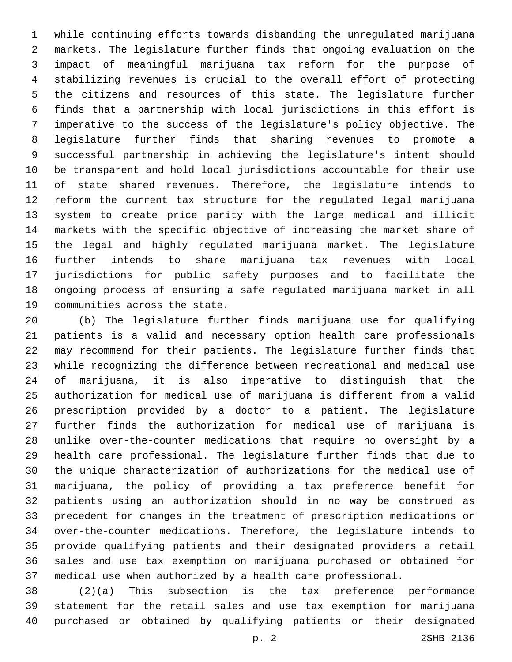while continuing efforts towards disbanding the unregulated marijuana markets. The legislature further finds that ongoing evaluation on the impact of meaningful marijuana tax reform for the purpose of stabilizing revenues is crucial to the overall effort of protecting the citizens and resources of this state. The legislature further finds that a partnership with local jurisdictions in this effort is imperative to the success of the legislature's policy objective. The legislature further finds that sharing revenues to promote a successful partnership in achieving the legislature's intent should be transparent and hold local jurisdictions accountable for their use of state shared revenues. Therefore, the legislature intends to reform the current tax structure for the regulated legal marijuana system to create price parity with the large medical and illicit markets with the specific objective of increasing the market share of the legal and highly regulated marijuana market. The legislature further intends to share marijuana tax revenues with local jurisdictions for public safety purposes and to facilitate the ongoing process of ensuring a safe regulated marijuana market in all 19 communities across the state.

 (b) The legislature further finds marijuana use for qualifying patients is a valid and necessary option health care professionals may recommend for their patients. The legislature further finds that while recognizing the difference between recreational and medical use of marijuana, it is also imperative to distinguish that the authorization for medical use of marijuana is different from a valid prescription provided by a doctor to a patient. The legislature further finds the authorization for medical use of marijuana is unlike over-the-counter medications that require no oversight by a health care professional. The legislature further finds that due to the unique characterization of authorizations for the medical use of marijuana, the policy of providing a tax preference benefit for patients using an authorization should in no way be construed as precedent for changes in the treatment of prescription medications or over-the-counter medications. Therefore, the legislature intends to provide qualifying patients and their designated providers a retail sales and use tax exemption on marijuana purchased or obtained for medical use when authorized by a health care professional.

 (2)(a) This subsection is the tax preference performance statement for the retail sales and use tax exemption for marijuana purchased or obtained by qualifying patients or their designated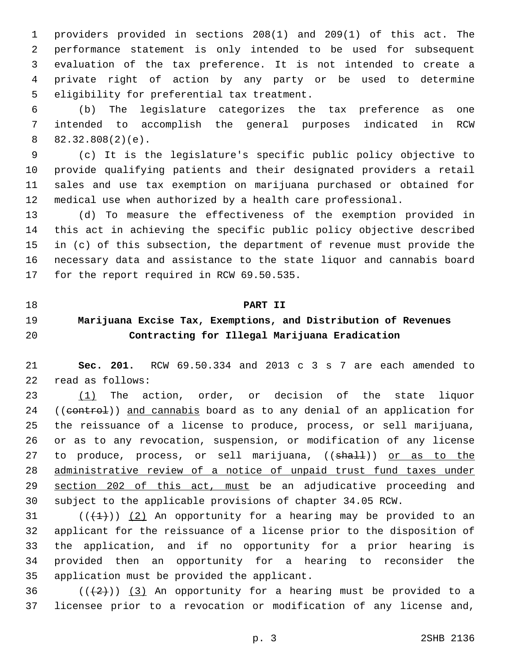providers provided in sections 208(1) and 209(1) of this act. The performance statement is only intended to be used for subsequent evaluation of the tax preference. It is not intended to create a private right of action by any party or be used to determine 5 eligibility for preferential tax treatment.

 (b) The legislature categorizes the tax preference as one intended to accomplish the general purposes indicated in RCW  $82.32.808(2)(e)$ .

 (c) It is the legislature's specific public policy objective to provide qualifying patients and their designated providers a retail sales and use tax exemption on marijuana purchased or obtained for medical use when authorized by a health care professional.

 (d) To measure the effectiveness of the exemption provided in this act in achieving the specific public policy objective described in (c) of this subsection, the department of revenue must provide the necessary data and assistance to the state liquor and cannabis board 17 for the report required in RCW 69.50.535.

#### **PART II**

# **Marijuana Excise Tax, Exemptions, and Distribution of Revenues Contracting for Illegal Marijuana Eradication**

 **Sec. 201.** RCW 69.50.334 and 2013 c 3 s 7 are each amended to 22 read as follows:

23 (1) The action, order, or decision of the state liquor 24 ((control)) and cannabis board as to any denial of an application for the reissuance of a license to produce, process, or sell marijuana, or as to any revocation, suspension, or modification of any license 27 to produce, process, or sell marijuana, ((shall)) or as to the administrative review of a notice of unpaid trust fund taxes under section 202 of this act, must be an adjudicative proceeding and subject to the applicable provisions of chapter 34.05 RCW.

 $((+1+))$  (2) An opportunity for a hearing may be provided to an applicant for the reissuance of a license prior to the disposition of the application, and if no opportunity for a prior hearing is provided then an opportunity for a hearing to reconsider the 35 application must be provided the applicant.

36  $((+2))$   $(3)$  An opportunity for a hearing must be provided to a licensee prior to a revocation or modification of any license and,

p. 3 2SHB 2136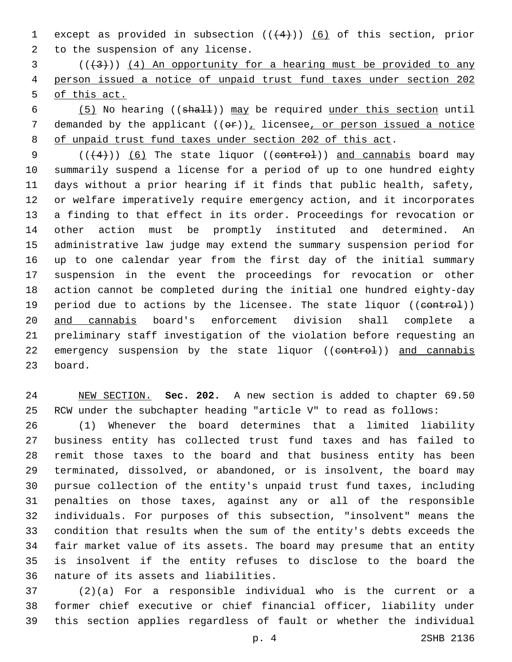1 except as provided in subsection  $((+4))$  (6) of this section, prior 2 to the suspension of any license.

 ( $(\frac{4}{3})$ ) (4) An opportunity for a hearing must be provided to any person issued a notice of unpaid trust fund taxes under section 202 of this act.

 (5) No hearing ((shall)) may be required under this section until 7 demanded by the applicant  $((e^E))$ , licensee, or person issued a notice of unpaid trust fund taxes under section 202 of this act.

 $((+4))$   $(6)$  The state liquor ((control)) and cannabis board may summarily suspend a license for a period of up to one hundred eighty days without a prior hearing if it finds that public health, safety, or welfare imperatively require emergency action, and it incorporates a finding to that effect in its order. Proceedings for revocation or other action must be promptly instituted and determined. An administrative law judge may extend the summary suspension period for up to one calendar year from the first day of the initial summary suspension in the event the proceedings for revocation or other action cannot be completed during the initial one hundred eighty-day 19 period due to actions by the licensee. The state liquor ((control)) and cannabis board's enforcement division shall complete a preliminary staff investigation of the violation before requesting an 22 emergency suspension by the state liquor ((control)) and cannabis 23 board.

 NEW SECTION. **Sec. 202.** A new section is added to chapter 69.50 RCW under the subchapter heading "article V" to read as follows:

 (1) Whenever the board determines that a limited liability business entity has collected trust fund taxes and has failed to remit those taxes to the board and that business entity has been terminated, dissolved, or abandoned, or is insolvent, the board may pursue collection of the entity's unpaid trust fund taxes, including penalties on those taxes, against any or all of the responsible individuals. For purposes of this subsection, "insolvent" means the condition that results when the sum of the entity's debts exceeds the fair market value of its assets. The board may presume that an entity is insolvent if the entity refuses to disclose to the board the 36 nature of its assets and liabilities.

 (2)(a) For a responsible individual who is the current or a former chief executive or chief financial officer, liability under this section applies regardless of fault or whether the individual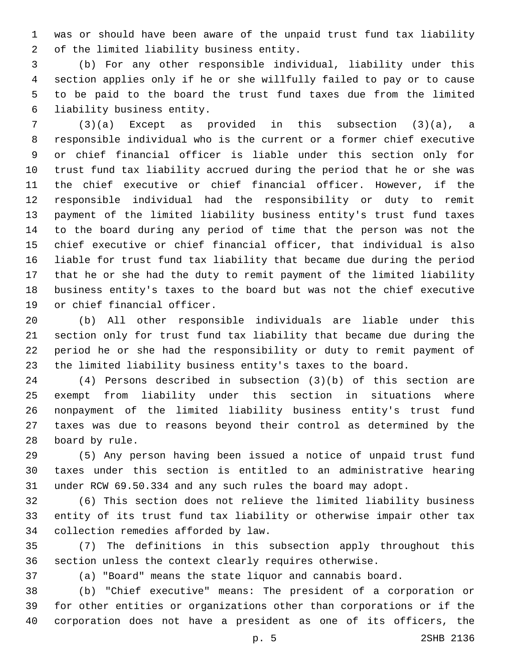was or should have been aware of the unpaid trust fund tax liability 2 of the limited liability business entity.

 (b) For any other responsible individual, liability under this section applies only if he or she willfully failed to pay or to cause to be paid to the board the trust fund taxes due from the limited 6 liability business entity.

 (3)(a) Except as provided in this subsection (3)(a), a responsible individual who is the current or a former chief executive or chief financial officer is liable under this section only for trust fund tax liability accrued during the period that he or she was the chief executive or chief financial officer. However, if the responsible individual had the responsibility or duty to remit payment of the limited liability business entity's trust fund taxes to the board during any period of time that the person was not the chief executive or chief financial officer, that individual is also liable for trust fund tax liability that became due during the period that he or she had the duty to remit payment of the limited liability business entity's taxes to the board but was not the chief executive 19 or chief financial officer.

 (b) All other responsible individuals are liable under this section only for trust fund tax liability that became due during the period he or she had the responsibility or duty to remit payment of the limited liability business entity's taxes to the board.

 (4) Persons described in subsection (3)(b) of this section are exempt from liability under this section in situations where nonpayment of the limited liability business entity's trust fund taxes was due to reasons beyond their control as determined by the 28 board by rule.

 (5) Any person having been issued a notice of unpaid trust fund taxes under this section is entitled to an administrative hearing under RCW 69.50.334 and any such rules the board may adopt.

 (6) This section does not relieve the limited liability business entity of its trust fund tax liability or otherwise impair other tax 34 collection remedies afforded by law.

 (7) The definitions in this subsection apply throughout this section unless the context clearly requires otherwise.

(a) "Board" means the state liquor and cannabis board.

 (b) "Chief executive" means: The president of a corporation or for other entities or organizations other than corporations or if the corporation does not have a president as one of its officers, the

p. 5 2SHB 2136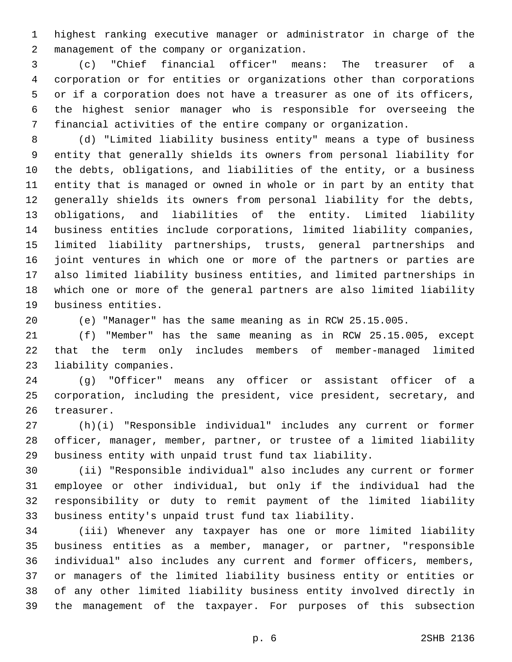highest ranking executive manager or administrator in charge of the management of the company or organization.2

 (c) "Chief financial officer" means: The treasurer of a corporation or for entities or organizations other than corporations or if a corporation does not have a treasurer as one of its officers, the highest senior manager who is responsible for overseeing the financial activities of the entire company or organization.

 (d) "Limited liability business entity" means a type of business entity that generally shields its owners from personal liability for the debts, obligations, and liabilities of the entity, or a business entity that is managed or owned in whole or in part by an entity that generally shields its owners from personal liability for the debts, obligations, and liabilities of the entity. Limited liability business entities include corporations, limited liability companies, limited liability partnerships, trusts, general partnerships and joint ventures in which one or more of the partners or parties are also limited liability business entities, and limited partnerships in which one or more of the general partners are also limited liability 19 business entities.

(e) "Manager" has the same meaning as in RCW 25.15.005.

 (f) "Member" has the same meaning as in RCW 25.15.005, except that the term only includes members of member-managed limited 23 liability companies.

 (g) "Officer" means any officer or assistant officer of a corporation, including the president, vice president, secretary, and 26 treasurer.

 (h)(i) "Responsible individual" includes any current or former officer, manager, member, partner, or trustee of a limited liability business entity with unpaid trust fund tax liability.

 (ii) "Responsible individual" also includes any current or former employee or other individual, but only if the individual had the responsibility or duty to remit payment of the limited liability business entity's unpaid trust fund tax liability.

 (iii) Whenever any taxpayer has one or more limited liability business entities as a member, manager, or partner, "responsible individual" also includes any current and former officers, members, or managers of the limited liability business entity or entities or of any other limited liability business entity involved directly in the management of the taxpayer. For purposes of this subsection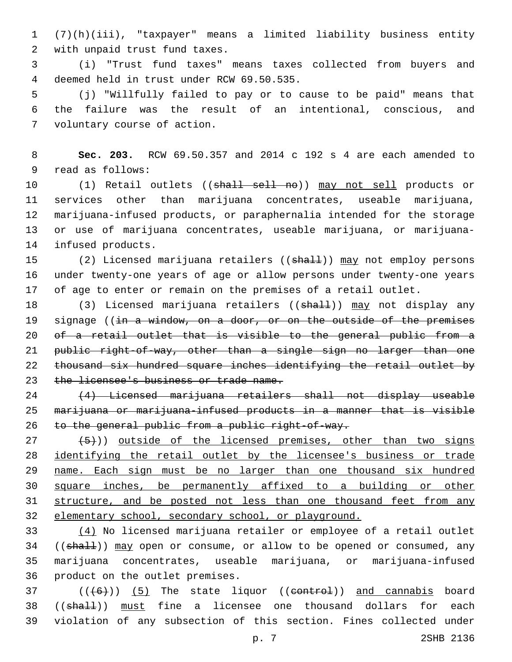1 (7)(h)(iii), "taxpayer" means a limited liability business entity 2 with unpaid trust fund taxes.

3 (i) "Trust fund taxes" means taxes collected from buyers and deemed held in trust under RCW 69.50.535.4

5 (j) "Willfully failed to pay or to cause to be paid" means that 6 the failure was the result of an intentional, conscious, and 7 voluntary course of action.

8 **Sec. 203.** RCW 69.50.357 and 2014 c 192 s 4 are each amended to 9 read as follows:

10 (1) Retail outlets ((shall sell no)) may not sell products or 11 services other than marijuana concentrates, useable marijuana, 12 marijuana-infused products, or paraphernalia intended for the storage 13 or use of marijuana concentrates, useable marijuana, or marijuana-14 infused products.

15 (2) Licensed marijuana retailers ((shall)) may not employ persons 16 under twenty-one years of age or allow persons under twenty-one years 17 of age to enter or remain on the premises of a retail outlet.

18 (3) Licensed marijuana retailers ((shall)) may not display any 19 signage ((in a window, on a door, or on the outside of the premises 20 of a retail outlet that is visible to the general public from a 21 public right-of-way, other than a single sign no larger than one 22 thousand six hundred square inches identifying the retail outlet by 23 the licensee's business or trade name.

24 (4) Licensed marijuana retailers shall not display useable 25 marijuana or marijuana-infused products in a manner that is visible 26 to the general public from a public right-of-way.

 $(27 + 5)$ ) outside of the licensed premises, other than two signs 28 identifying the retail outlet by the licensee's business or trade 29 name. Each sign must be no larger than one thousand six hundred 30 square inches, be permanently affixed to a building or other 31 structure, and be posted not less than one thousand feet from any 32 elementary school, secondary school, or playground.

33 (4) No licensed marijuana retailer or employee of a retail outlet 34 ((shall)) may open or consume, or allow to be opened or consumed, any 35 marijuana concentrates, useable marijuana, or marijuana-infused 36 product on the outlet premises.

37  $((+6))$   $(5)$  The state liquor ((control)) and cannabis board 38 ((shall)) must fine a licensee one thousand dollars for each 39 violation of any subsection of this section. Fines collected under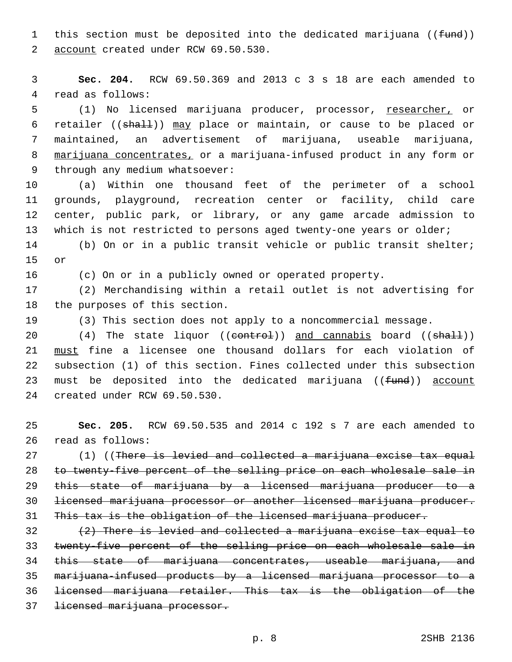1 this section must be deposited into the dedicated marijuana ((fund)) 2 account created under RCW 69.50.530.

3 **Sec. 204.** RCW 69.50.369 and 2013 c 3 s 18 are each amended to 4 read as follows:

5 (1) No licensed marijuana producer, processor, researcher, or 6 retailer ((shall)) may place or maintain, or cause to be placed or 7 maintained, an advertisement of marijuana, useable marijuana, 8 marijuana concentrates, or a marijuana-infused product in any form or 9 through any medium whatsoever:

 (a) Within one thousand feet of the perimeter of a school grounds, playground, recreation center or facility, child care center, public park, or library, or any game arcade admission to which is not restricted to persons aged twenty-one years or older;

14 (b) On or in a public transit vehicle or public transit shelter; 15 or

16 (c) On or in a publicly owned or operated property.

17 (2) Merchandising within a retail outlet is not advertising for 18 the purposes of this section.

19 (3) This section does not apply to a noncommercial message.

20 (4) The state liquor ((control)) and cannabis board ((shall)) 21 must fine a licensee one thousand dollars for each violation of 22 subsection (1) of this section. Fines collected under this subsection 23 must be deposited into the dedicated marijuana ((fund)) account 24 created under RCW 69.50.530.

25 **Sec. 205.** RCW 69.50.535 and 2014 c 192 s 7 are each amended to 26 read as follows:

27 (1) ((There is levied and collected a marijuana excise tax equal 28 to twenty-five percent of the selling price on each wholesale sale in 29 this state of marijuana by a licensed marijuana producer to a 30 licensed marijuana processor or another licensed marijuana producer. 31 This tax is the obligation of the licensed marijuana producer.

 $\{2\}$  There is levied and collected a marijuana excise tax equal to 33 twenty-five percent of the selling price on each wholesale sale in 34 this state of marijuana concentrates, useable marijuana, and 35 marijuana-infused products by a licensed marijuana processor to a 36 licensed marijuana retailer. This tax is the obligation of the 37 licensed marijuana processor.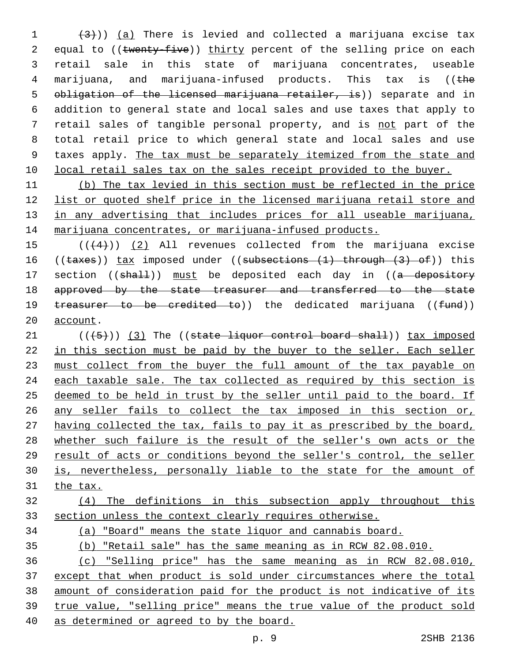$(3)$ ) (a) There is levied and collected a marijuana excise tax 2 equal to ((twenty-five)) thirty percent of the selling price on each retail sale in this state of marijuana concentrates, useable marijuana, and marijuana-infused products. This tax is ((the 5 obligation of the licensed marijuana retailer, is)) separate and in addition to general state and local sales and use taxes that apply to retail sales of tangible personal property, and is not part of the total retail price to which general state and local sales and use taxes apply. The tax must be separately itemized from the state and 10 local retail sales tax on the sales receipt provided to the buyer.

 (b) The tax levied in this section must be reflected in the price list or quoted shelf price in the licensed marijuana retail store and 13 in any advertising that includes prices for all useable marijuana, 14 marijuana concentrates, or marijuana-infused products.

 $((4+))$  (2) All revenues collected from the marijuana excise 16 ((taxes)) tax imposed under ((subsections (1) through (3) of)) this 17 section ((shall)) must be deposited each day in ((a depository 18 approved by the state treasurer and transferred to the state 19 treasurer to be credited to)) the dedicated marijuana ((fund)) 20 account.

 $(1 + 5)$ ) (3) The ((state liquor control board shall)) tax imposed 22 in this section must be paid by the buyer to the seller. Each seller 23 must collect from the buyer the full amount of the tax payable on 24 each taxable sale. The tax collected as required by this section is deemed to be held in trust by the seller until paid to the board. If any seller fails to collect the tax imposed in this section or, having collected the tax, fails to pay it as prescribed by the board, whether such failure is the result of the seller's own acts or the result of acts or conditions beyond the seller's control, the seller is, nevertheless, personally liable to the state for the amount of the tax.

# (4) The definitions in this subsection apply throughout this section unless the context clearly requires otherwise.

(a) "Board" means the state liquor and cannabis board.

(b) "Retail sale" has the same meaning as in RCW 82.08.010.

 (c) "Selling price" has the same meaning as in RCW 82.08.010, except that when product is sold under circumstances where the total amount of consideration paid for the product is not indicative of its true value, "selling price" means the true value of the product sold as determined or agreed to by the board.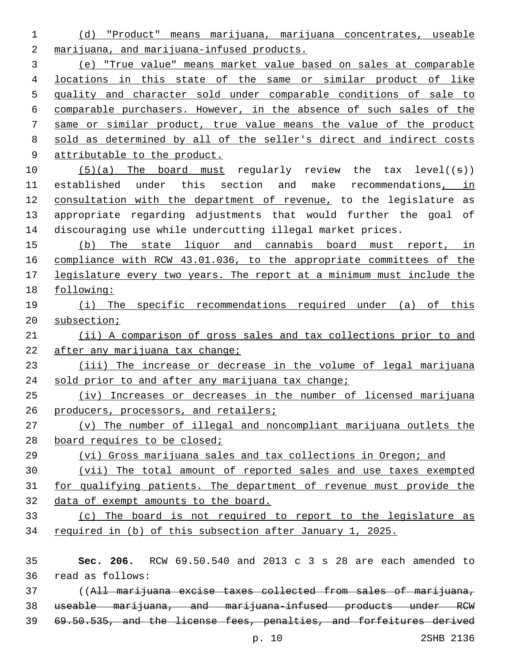(d) "Product" means marijuana, marijuana concentrates, useable 2 marijuana, and marijuana-infused products.

 (e) "True value" means market value based on sales at comparable locations in this state of the same or similar product of like quality and character sold under comparable conditions of sale to comparable purchasers. However, in the absence of such sales of the same or similar product, true value means the value of the product sold as determined by all of the seller's direct and indirect costs attributable to the product.

 $(5)(a)$  The board must regularly review the tax level((s)) established under this section and make recommendations, in 12 consultation with the department of revenue, to the legislature as appropriate regarding adjustments that would further the goal of discouraging use while undercutting illegal market prices.

 (b) The state liquor and cannabis board must report, in compliance with RCW 43.01.036, to the appropriate committees of the legislature every two years. The report at a minimum must include the following:

 (i) The specific recommendations required under (a) of this subsection;

 (ii) A comparison of gross sales and tax collections prior to and 22 after any marijuana tax change;

 (iii) The increase or decrease in the volume of legal marijuana 24 sold prior to and after any marijuana tax change;

 (iv) Increases or decreases in the number of licensed marijuana 26 producers, processors, and retailers;

 (v) The number of illegal and noncompliant marijuana outlets the 28 board requires to be closed;

 (vi) Gross marijuana sales and tax collections in Oregon; and (vii) The total amount of reported sales and use taxes exempted for qualifying patients. The department of revenue must provide the data of exempt amounts to the board.

 (c) The board is not required to report to the legislature as required in (b) of this subsection after January 1, 2025.

 **Sec. 206.** RCW 69.50.540 and 2013 c 3 s 28 are each amended to read as follows:36

 ((All marijuana excise taxes collected from sales of marijuana, useable marijuana, and marijuana-infused products under RCW

69.50.535, and the license fees, penalties, and forfeitures derived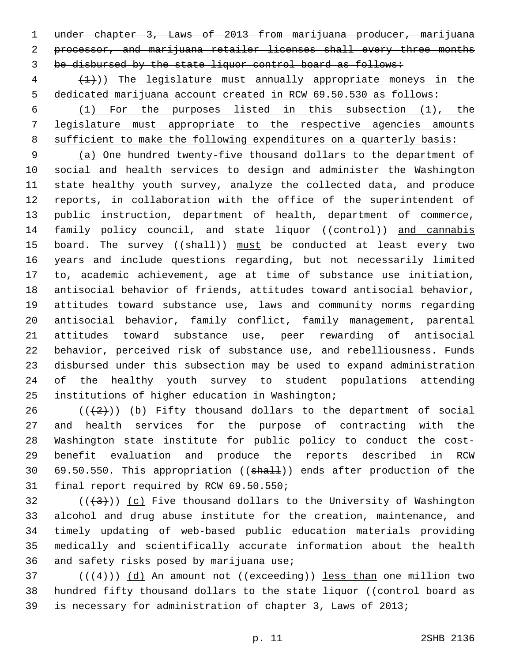under chapter 3, Laws of 2013 from marijuana producer, marijuana processor, and marijuana retailer licenses shall every three months be disbursed by the state liquor control board as follows:

 (1))) The legislature must annually appropriate moneys in the dedicated marijuana account created in RCW 69.50.530 as follows:

 (1) For the purposes listed in this subsection (1), the legislature must appropriate to the respective agencies amounts sufficient to make the following expenditures on a quarterly basis:

 (a) One hundred twenty-five thousand dollars to the department of social and health services to design and administer the Washington state healthy youth survey, analyze the collected data, and produce reports, in collaboration with the office of the superintendent of public instruction, department of health, department of commerce, 14 family policy council, and state liquor ((eontrol)) and cannabis 15 board. The survey ((shall)) must be conducted at least every two years and include questions regarding, but not necessarily limited to, academic achievement, age at time of substance use initiation, antisocial behavior of friends, attitudes toward antisocial behavior, attitudes toward substance use, laws and community norms regarding antisocial behavior, family conflict, family management, parental attitudes toward substance use, peer rewarding of antisocial behavior, perceived risk of substance use, and rebelliousness. Funds disbursed under this subsection may be used to expand administration of the healthy youth survey to student populations attending 25 institutions of higher education in Washington;

 ( $(\frac{2}{2})$ ) (b) Fifty thousand dollars to the department of social and health services for the purpose of contracting with the Washington state institute for public policy to conduct the cost- benefit evaluation and produce the reports described in RCW 30 69.50.550. This appropriation ((shall)) ends after production of the 31 final report required by RCW 69.50.550;

 (( $(3)$ )) (c) Five thousand dollars to the University of Washington alcohol and drug abuse institute for the creation, maintenance, and timely updating of web-based public education materials providing medically and scientifically accurate information about the health 36 and safety risks posed by marijuana use;

 ( $(\overline{+4})$ )  $\overline{d}$  An amount not ((exceeding)) less than one million two 38 hundred fifty thousand dollars to the state liquor ((control board as is necessary for administration of chapter 3, Laws of 2013;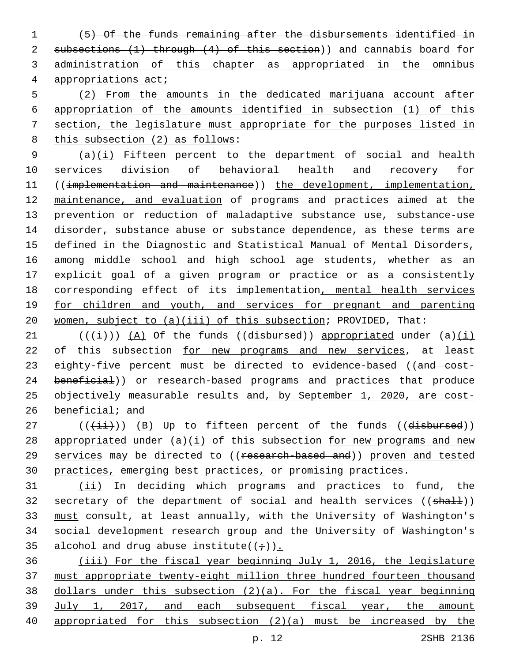(5) Of the funds remaining after the disbursements identified in subsections (1) through (4) of this section)) and cannabis board for administration of this chapter as appropriated in the omnibus appropriations act;

 (2) From the amounts in the dedicated marijuana account after appropriation of the amounts identified in subsection (1) of this section, the legislature must appropriate for the purposes listed in 8 this subsection (2) as follows:

9 (a)(i) Fifteen percent to the department of social and health services division of behavioral health and recovery for 11 ((implementation and maintenance)) the development, implementation, maintenance, and evaluation of programs and practices aimed at the prevention or reduction of maladaptive substance use, substance-use disorder, substance abuse or substance dependence, as these terms are defined in the Diagnostic and Statistical Manual of Mental Disorders, among middle school and high school age students, whether as an explicit goal of a given program or practice or as a consistently 18 corresponding effect of its implementation, mental health services 19 for children and youth, and services for pregnant and parenting women, subject to (a)(iii) of this subsection; PROVIDED, That:

21 ( $(\frac{1}{i})$ ) (A) Of the funds ((disbursed)) appropriated under (a)(i) 22 of this subsection for new programs and new services, at least 23 eighty-five percent must be directed to evidence-based ((and cost-24 beneficial)) or research-based programs and practices that produce 25 objectively measurable results and, by September 1, 2020, are cost-beneficial; and

 (( $\overline{\{\pm i\}}$ )) (B) Up to fifteen percent of the funds ((disbursed)) 28 appropriated under  $(a)(i)$  of this subsection for new programs and new 29 services may be directed to ((research-based and)) proven and tested 30 practices, emerging best practices, or promising practices.

 (ii) In deciding which programs and practices to fund, the 32 secretary of the department of social and health services ((shall)) must consult, at least annually, with the University of Washington's social development research group and the University of Washington's 35 alcohol and drug abuse institute( $(+)$ ).

 (iii) For the fiscal year beginning July 1, 2016, the legislature must appropriate twenty-eight million three hundred fourteen thousand dollars under this subsection (2)(a). For the fiscal year beginning July 1, 2017, and each subsequent fiscal year, the amount appropriated for this subsection (2)(a) must be increased by the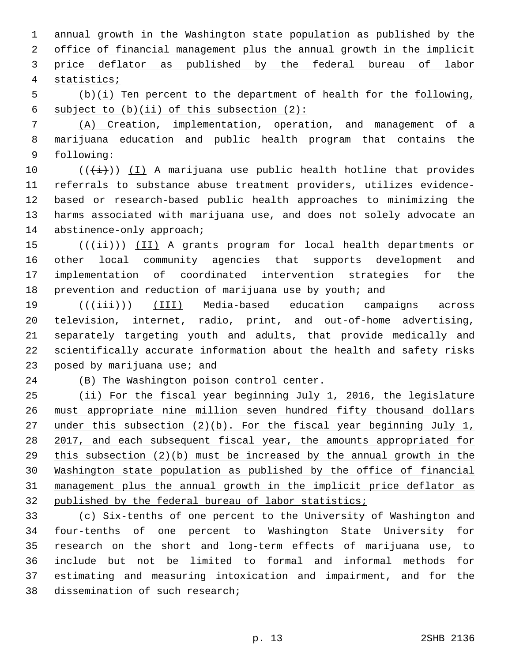annual growth in the Washington state population as published by the office of financial management plus the annual growth in the implicit price deflator as published by the federal bureau of labor statistics;4

 (b)(i) Ten percent to the department of health for the following, 6 subject to  $(b)(ii)$  of this subsection  $(2)$ :

 (A) Creation, implementation, operation, and management of a marijuana education and public health program that contains the 9 following:

 $((\overleftrightarrow{t}))(1)$  A marijuana use public health hotline that provides referrals to substance abuse treatment providers, utilizes evidence- based or research-based public health approaches to minimizing the harms associated with marijuana use, and does not solely advocate an 14 abstinence-only approach;

15 (((+ii)) (II) A grants program for local health departments or other local community agencies that supports development and implementation of coordinated intervention strategies for the 18 prevention and reduction of marijuana use by youth; and

19 (( $(i+1)$ ) (III) Media-based education campaigns across television, internet, radio, print, and out-of-home advertising, separately targeting youth and adults, that provide medically and scientifically accurate information about the health and safety risks 23 posed by marijuana use; and

(B) The Washington poison control center.

 (ii) For the fiscal year beginning July 1, 2016, the legislature must appropriate nine million seven hundred fifty thousand dollars 27 under this subsection (2)(b). For the fiscal year beginning July 1, 28 2017, and each subsequent fiscal year, the amounts appropriated for this subsection (2)(b) must be increased by the annual growth in the Washington state population as published by the office of financial management plus the annual growth in the implicit price deflator as 32 published by the federal bureau of labor statistics;

 (c) Six-tenths of one percent to the University of Washington and four-tenths of one percent to Washington State University for research on the short and long-term effects of marijuana use, to include but not be limited to formal and informal methods for estimating and measuring intoxication and impairment, and for the 38 dissemination of such research;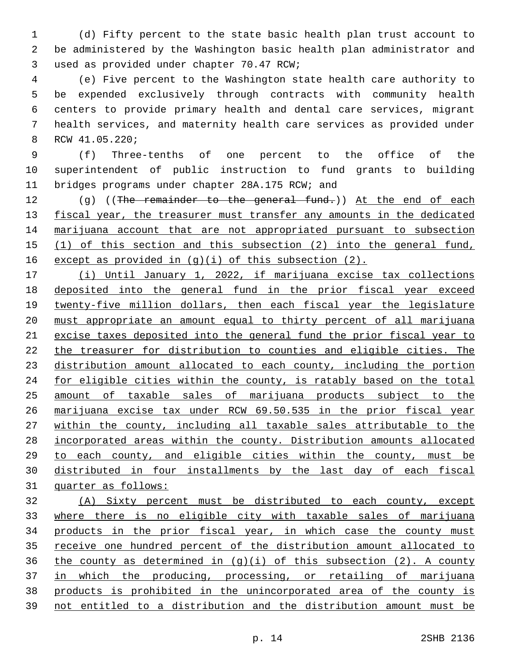(d) Fifty percent to the state basic health plan trust account to be administered by the Washington basic health plan administrator and 3 used as provided under chapter 70.47 RCW;

 (e) Five percent to the Washington state health care authority to be expended exclusively through contracts with community health centers to provide primary health and dental care services, migrant health services, and maternity health care services as provided under 8 RCW 41.05.220;

 (f) Three-tenths of one percent to the office of the superintendent of public instruction to fund grants to building 11 bridges programs under chapter 28A.175 RCW; and

12 (g) ((The remainder to the general fund.)) At the end of each 13 fiscal year, the treasurer must transfer any amounts in the dedicated 14 marijuana account that are not appropriated pursuant to subsection (1) of this section and this subsection (2) into the general fund, 16 except as provided in  $(g)(i)$  of this subsection  $(2)$ .

 (i) Until January 1, 2022, if marijuana excise tax collections deposited into the general fund in the prior fiscal year exceed twenty-five million dollars, then each fiscal year the legislature must appropriate an amount equal to thirty percent of all marijuana excise taxes deposited into the general fund the prior fiscal year to 22 the treasurer for distribution to counties and eligible cities. The 23 distribution amount allocated to each county, including the portion for eligible cities within the county, is ratably based on the total amount of taxable sales of marijuana products subject to the marijuana excise tax under RCW 69.50.535 in the prior fiscal year within the county, including all taxable sales attributable to the incorporated areas within the county. Distribution amounts allocated to each county, and eligible cities within the county, must be distributed in four installments by the last day of each fiscal quarter as follows:

 (A) Sixty percent must be distributed to each county, except where there is no eligible city with taxable sales of marijuana products in the prior fiscal year, in which case the county must receive one hundred percent of the distribution amount allocated to 36 the county as determined in  $(g)(i)$  of this subsection  $(2)$ . A county 37 in which the producing, processing, or retailing of marijuana products is prohibited in the unincorporated area of the county is not entitled to a distribution and the distribution amount must be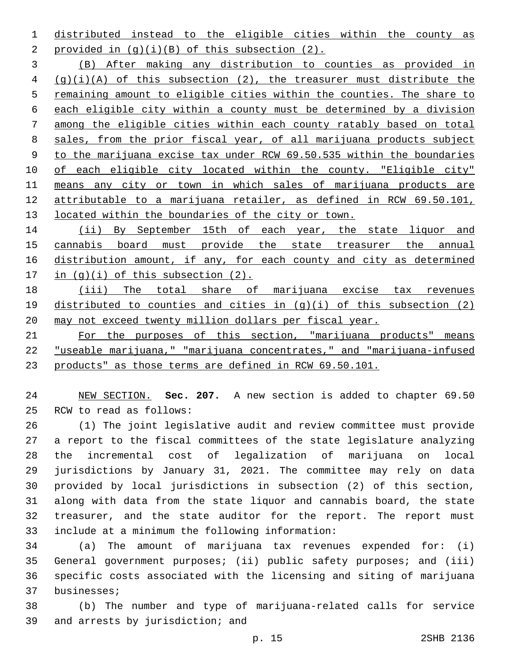distributed instead to the eligible cities within the county as 2 provided in  $(g)(i)(B)$  of this subsection  $(2)$ .

 (B) After making any distribution to counties as provided in (g)(i)(A) of this subsection (2), the treasurer must distribute the 5 remaining amount to eligible cities within the counties. The share to each eligible city within a county must be determined by a division among the eligible cities within each county ratably based on total sales, from the prior fiscal year, of all marijuana products subject to the marijuana excise tax under RCW 69.50.535 within the boundaries of each eligible city located within the county. "Eligible city" means any city or town in which sales of marijuana products are attributable to a marijuana retailer, as defined in RCW 69.50.101, 13 located within the boundaries of the city or town.

14 (ii) By September 15th of each year, the state liquor and cannabis board must provide the state treasurer the annual distribution amount, if any, for each county and city as determined 17 in  $(q)(i)$  of this subsection  $(2)$ .

 (iii) The total share of marijuana excise tax revenues distributed to counties and cities in (g)(i) of this subsection (2) may not exceed twenty million dollars per fiscal year.

 For the purposes of this section, "marijuana products" means "useable marijuana," "marijuana concentrates," and "marijuana-infused products" as those terms are defined in RCW 69.50.101.

 NEW SECTION. **Sec. 207.** A new section is added to chapter 69.50 25 RCW to read as follows:

 (1) The joint legislative audit and review committee must provide a report to the fiscal committees of the state legislature analyzing the incremental cost of legalization of marijuana on local jurisdictions by January 31, 2021. The committee may rely on data provided by local jurisdictions in subsection (2) of this section, along with data from the state liquor and cannabis board, the state treasurer, and the state auditor for the report. The report must 33 include at a minimum the following information:

 (a) The amount of marijuana tax revenues expended for: (i) General government purposes; (ii) public safety purposes; and (iii) specific costs associated with the licensing and siting of marijuana 37 businesses;

 (b) The number and type of marijuana-related calls for service 39 and arrests by jurisdiction; and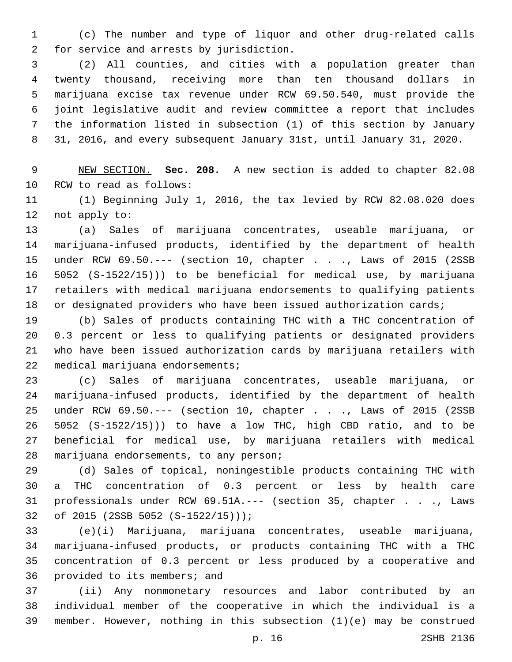(c) The number and type of liquor and other drug-related calls 2 for service and arrests by jurisdiction.

 (2) All counties, and cities with a population greater than twenty thousand, receiving more than ten thousand dollars in marijuana excise tax revenue under RCW 69.50.540, must provide the joint legislative audit and review committee a report that includes the information listed in subsection (1) of this section by January 31, 2016, and every subsequent January 31st, until January 31, 2020.

 NEW SECTION. **Sec. 208.** A new section is added to chapter 82.08 10 RCW to read as follows:

 (1) Beginning July 1, 2016, the tax levied by RCW 82.08.020 does 12 not apply to:

 (a) Sales of marijuana concentrates, useable marijuana, or marijuana-infused products, identified by the department of health under RCW 69.50.--- (section 10, chapter . . ., Laws of 2015 (2SSB 5052 (S-1522/15))) to be beneficial for medical use, by marijuana retailers with medical marijuana endorsements to qualifying patients or designated providers who have been issued authorization cards;

 (b) Sales of products containing THC with a THC concentration of 0.3 percent or less to qualifying patients or designated providers who have been issued authorization cards by marijuana retailers with 22 medical marijuana endorsements;

 (c) Sales of marijuana concentrates, useable marijuana, or marijuana-infused products, identified by the department of health under RCW 69.50.--- (section 10, chapter . . ., Laws of 2015 (2SSB 5052 (S-1522/15))) to have a low THC, high CBD ratio, and to be beneficial for medical use, by marijuana retailers with medical 28 marijuana endorsements, to any person;

 (d) Sales of topical, noningestible products containing THC with a THC concentration of 0.3 percent or less by health care professionals under RCW 69.51A.--- (section 35, chapter . . ., Laws 32 of 2015 (2SSB 5052 (S-1522/15)));

 (e)(i) Marijuana, marijuana concentrates, useable marijuana, marijuana-infused products, or products containing THC with a THC concentration of 0.3 percent or less produced by a cooperative and 36 provided to its members; and

 (ii) Any nonmonetary resources and labor contributed by an individual member of the cooperative in which the individual is a member. However, nothing in this subsection (1)(e) may be construed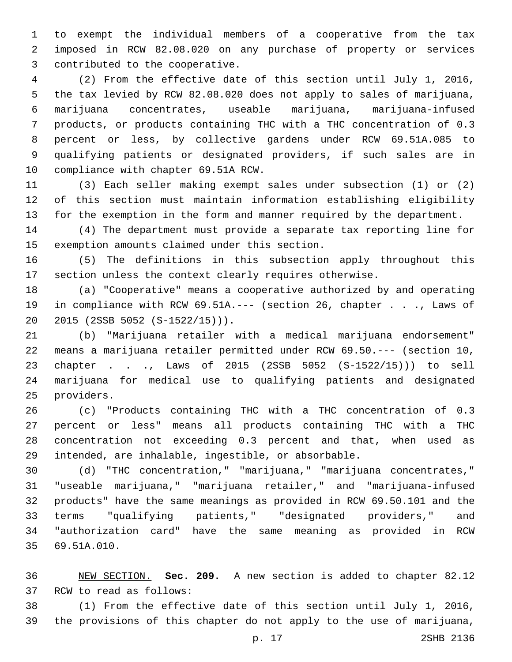to exempt the individual members of a cooperative from the tax imposed in RCW 82.08.020 on any purchase of property or services 3 contributed to the cooperative.

 (2) From the effective date of this section until July 1, 2016, the tax levied by RCW 82.08.020 does not apply to sales of marijuana, marijuana concentrates, useable marijuana, marijuana-infused products, or products containing THC with a THC concentration of 0.3 percent or less, by collective gardens under RCW 69.51A.085 to qualifying patients or designated providers, if such sales are in 10 compliance with chapter 69.51A RCW.

 (3) Each seller making exempt sales under subsection (1) or (2) of this section must maintain information establishing eligibility for the exemption in the form and manner required by the department.

 (4) The department must provide a separate tax reporting line for 15 exemption amounts claimed under this section.

 (5) The definitions in this subsection apply throughout this section unless the context clearly requires otherwise.

 (a) "Cooperative" means a cooperative authorized by and operating in compliance with RCW 69.51A.--- (section 26, chapter . . ., Laws of 20 2015 (2SSB 5052 (S-1522/15))).

 (b) "Marijuana retailer with a medical marijuana endorsement" means a marijuana retailer permitted under RCW 69.50.--- (section 10, chapter . . ., Laws of 2015 (2SSB 5052 (S-1522/15))) to sell marijuana for medical use to qualifying patients and designated 25 providers.

 (c) "Products containing THC with a THC concentration of 0.3 percent or less" means all products containing THC with a THC concentration not exceeding 0.3 percent and that, when used as intended, are inhalable, ingestible, or absorbable.

 (d) "THC concentration," "marijuana," "marijuana concentrates," "useable marijuana," "marijuana retailer," and "marijuana-infused products" have the same meanings as provided in RCW 69.50.101 and the terms "qualifying patients," "designated providers," and "authorization card" have the same meaning as provided in RCW 69.51A.010.35

 NEW SECTION. **Sec. 209.** A new section is added to chapter 82.12 37 RCW to read as follows:

 (1) From the effective date of this section until July 1, 2016, the provisions of this chapter do not apply to the use of marijuana,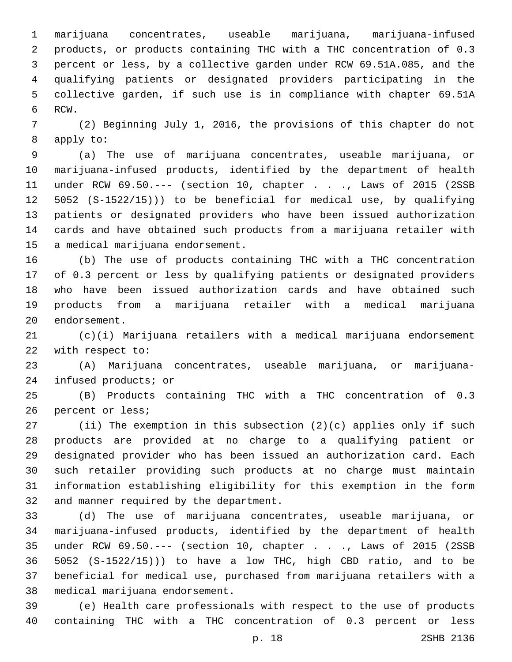marijuana concentrates, useable marijuana, marijuana-infused products, or products containing THC with a THC concentration of 0.3 percent or less, by a collective garden under RCW 69.51A.085, and the qualifying patients or designated providers participating in the collective garden, if such use is in compliance with chapter 69.51A 6 RCW.

 (2) Beginning July 1, 2016, the provisions of this chapter do not 8 apply to:

 (a) The use of marijuana concentrates, useable marijuana, or marijuana-infused products, identified by the department of health under RCW 69.50.--- (section 10, chapter . . ., Laws of 2015 (2SSB 5052 (S-1522/15))) to be beneficial for medical use, by qualifying patients or designated providers who have been issued authorization cards and have obtained such products from a marijuana retailer with 15 a medical marijuana endorsement.

 (b) The use of products containing THC with a THC concentration of 0.3 percent or less by qualifying patients or designated providers who have been issued authorization cards and have obtained such products from a marijuana retailer with a medical marijuana 20 endorsement.

 (c)(i) Marijuana retailers with a medical marijuana endorsement 22 with respect to:

 (A) Marijuana concentrates, useable marijuana, or marijuana-24 infused products; or

 (B) Products containing THC with a THC concentration of 0.3 26 percent or less;

 (ii) The exemption in this subsection (2)(c) applies only if such products are provided at no charge to a qualifying patient or designated provider who has been issued an authorization card. Each such retailer providing such products at no charge must maintain information establishing eligibility for this exemption in the form 32 and manner required by the department.

 (d) The use of marijuana concentrates, useable marijuana, or marijuana-infused products, identified by the department of health under RCW 69.50.--- (section 10, chapter . . ., Laws of 2015 (2SSB 5052 (S-1522/15))) to have a low THC, high CBD ratio, and to be beneficial for medical use, purchased from marijuana retailers with a 38 medical marijuana endorsement.

 (e) Health care professionals with respect to the use of products containing THC with a THC concentration of 0.3 percent or less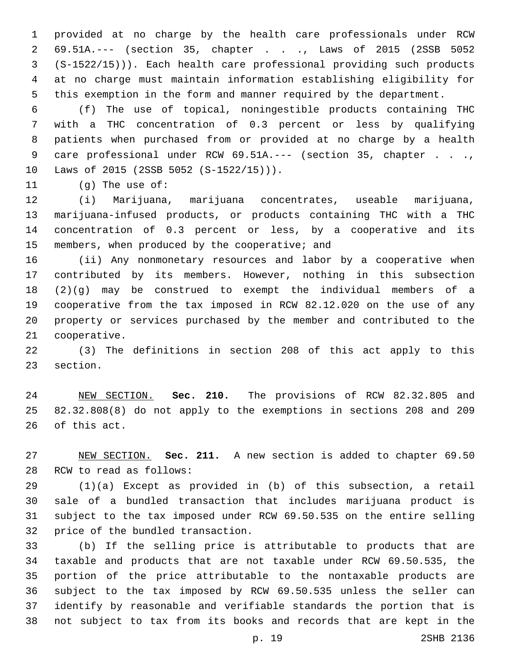provided at no charge by the health care professionals under RCW 69.51A.--- (section 35, chapter . . ., Laws of 2015 (2SSB 5052 (S-1522/15))). Each health care professional providing such products at no charge must maintain information establishing eligibility for this exemption in the form and manner required by the department.

 (f) The use of topical, noningestible products containing THC with a THC concentration of 0.3 percent or less by qualifying patients when purchased from or provided at no charge by a health 9 care professional under RCW 69.51A.--- (section 35, chapter . . ., 10 Laws of 2015 (2SSB 5052 (S-1522/15))).

11 (g) The use of:

 (i) Marijuana, marijuana concentrates, useable marijuana, marijuana-infused products, or products containing THC with a THC concentration of 0.3 percent or less, by a cooperative and its 15 members, when produced by the cooperative; and

 (ii) Any nonmonetary resources and labor by a cooperative when contributed by its members. However, nothing in this subsection (2)(g) may be construed to exempt the individual members of a cooperative from the tax imposed in RCW 82.12.020 on the use of any property or services purchased by the member and contributed to the 21 cooperative.

 (3) The definitions in section 208 of this act apply to this 23 section.

 NEW SECTION. **Sec. 210.** The provisions of RCW 82.32.805 and 82.32.808(8) do not apply to the exemptions in sections 208 and 209 of this act.

 NEW SECTION. **Sec. 211.** A new section is added to chapter 69.50 28 RCW to read as follows:

 (1)(a) Except as provided in (b) of this subsection, a retail sale of a bundled transaction that includes marijuana product is subject to the tax imposed under RCW 69.50.535 on the entire selling 32 price of the bundled transaction.

 (b) If the selling price is attributable to products that are taxable and products that are not taxable under RCW 69.50.535, the portion of the price attributable to the nontaxable products are subject to the tax imposed by RCW 69.50.535 unless the seller can identify by reasonable and verifiable standards the portion that is not subject to tax from its books and records that are kept in the

p. 19 2SHB 2136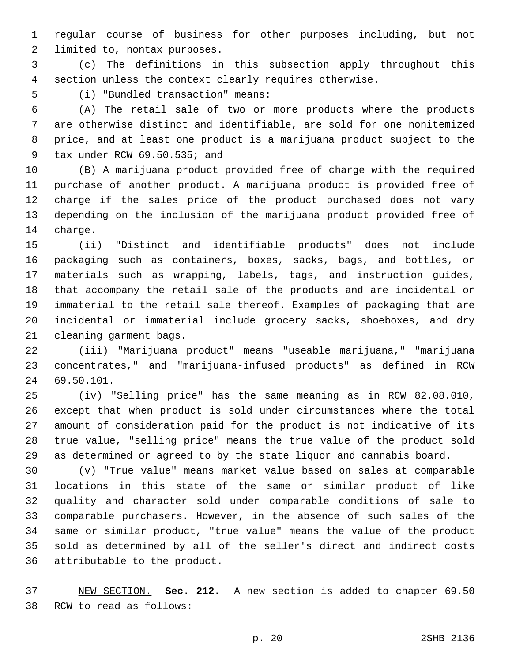regular course of business for other purposes including, but not 2 limited to, nontax purposes.

 (c) The definitions in this subsection apply throughout this section unless the context clearly requires otherwise.

(i) "Bundled transaction" means:5

 (A) The retail sale of two or more products where the products are otherwise distinct and identifiable, are sold for one nonitemized price, and at least one product is a marijuana product subject to the 9 tax under RCW 69.50.535; and

 (B) A marijuana product provided free of charge with the required purchase of another product. A marijuana product is provided free of charge if the sales price of the product purchased does not vary depending on the inclusion of the marijuana product provided free of 14 charge.

 (ii) "Distinct and identifiable products" does not include packaging such as containers, boxes, sacks, bags, and bottles, or materials such as wrapping, labels, tags, and instruction guides, that accompany the retail sale of the products and are incidental or immaterial to the retail sale thereof. Examples of packaging that are incidental or immaterial include grocery sacks, shoeboxes, and dry 21 cleaning garment bags.

 (iii) "Marijuana product" means "useable marijuana," "marijuana concentrates," and "marijuana-infused products" as defined in RCW 69.50.101.24

 (iv) "Selling price" has the same meaning as in RCW 82.08.010, except that when product is sold under circumstances where the total amount of consideration paid for the product is not indicative of its true value, "selling price" means the true value of the product sold as determined or agreed to by the state liquor and cannabis board.

 (v) "True value" means market value based on sales at comparable locations in this state of the same or similar product of like quality and character sold under comparable conditions of sale to comparable purchasers. However, in the absence of such sales of the same or similar product, "true value" means the value of the product sold as determined by all of the seller's direct and indirect costs 36 attributable to the product.

 NEW SECTION. **Sec. 212.** A new section is added to chapter 69.50 38 RCW to read as follows: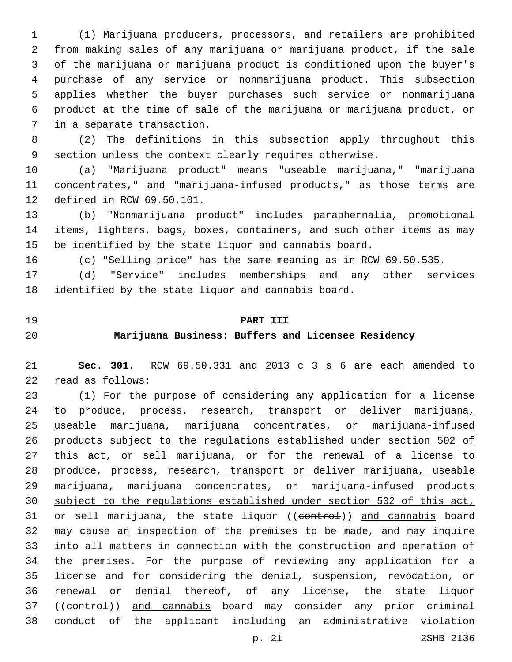(1) Marijuana producers, processors, and retailers are prohibited from making sales of any marijuana or marijuana product, if the sale of the marijuana or marijuana product is conditioned upon the buyer's purchase of any service or nonmarijuana product. This subsection applies whether the buyer purchases such service or nonmarijuana product at the time of sale of the marijuana or marijuana product, or 7 in a separate transaction.

 (2) The definitions in this subsection apply throughout this section unless the context clearly requires otherwise.

 (a) "Marijuana product" means "useable marijuana," "marijuana concentrates," and "marijuana-infused products," as those terms are 12 defined in RCW 69.50.101.

 (b) "Nonmarijuana product" includes paraphernalia, promotional items, lighters, bags, boxes, containers, and such other items as may be identified by the state liquor and cannabis board.

(c) "Selling price" has the same meaning as in RCW 69.50.535.

 (d) "Service" includes memberships and any other services identified by the state liquor and cannabis board.

#### **PART III**

### **Marijuana Business: Buffers and Licensee Residency**

 **Sec. 301.** RCW 69.50.331 and 2013 c 3 s 6 are each amended to 22 read as follows:

 (1) For the purpose of considering any application for a license 24 to produce, process, research, transport or deliver marijuana, useable marijuana, marijuana concentrates, or marijuana-infused products subject to the regulations established under section 502 of 27 this act, or sell marijuana, or for the renewal of a license to 28 produce, process, research, transport or deliver marijuana, useable marijuana, marijuana concentrates, or marijuana-infused products subject to the regulations established under section 502 of this act, 31 or sell marijuana, the state liquor ((eontrol)) and cannabis board may cause an inspection of the premises to be made, and may inquire into all matters in connection with the construction and operation of the premises. For the purpose of reviewing any application for a license and for considering the denial, suspension, revocation, or renewal or denial thereof, of any license, the state liquor 37 ((control)) and cannabis board may consider any prior criminal conduct of the applicant including an administrative violation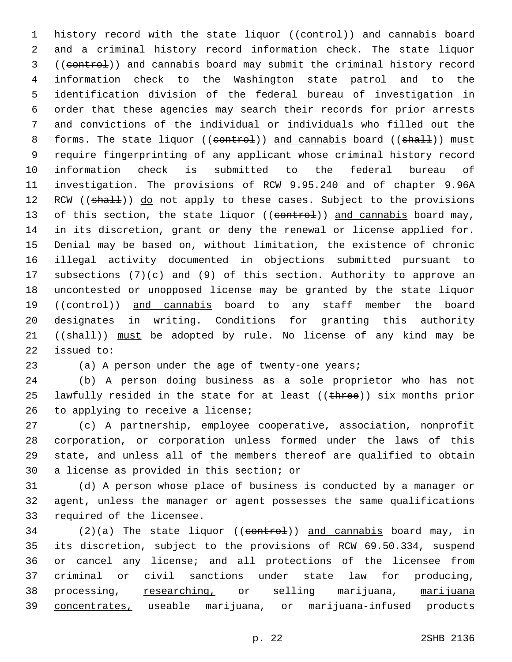1 history record with the state liquor ((control)) and cannabis board and a criminal history record information check. The state liquor ((control)) and cannabis board may submit the criminal history record information check to the Washington state patrol and to the identification division of the federal bureau of investigation in order that these agencies may search their records for prior arrests and convictions of the individual or individuals who filled out the 8 forms. The state liquor ((control)) and cannabis board ((shall)) must require fingerprinting of any applicant whose criminal history record information check is submitted to the federal bureau of investigation. The provisions of RCW 9.95.240 and of chapter 9.96A 12 RCW ((shall)) do not apply to these cases. Subject to the provisions 13 of this section, the state liquor ((control)) and cannabis board may, in its discretion, grant or deny the renewal or license applied for. Denial may be based on, without limitation, the existence of chronic illegal activity documented in objections submitted pursuant to subsections (7)(c) and (9) of this section. Authority to approve an uncontested or unopposed license may be granted by the state liquor 19 ((control)) and cannabis board to any staff member the board designates in writing. Conditions for granting this authority 21 ((shall)) must be adopted by rule. No license of any kind may be 22 issued to:

23 (a) A person under the age of twenty-one years;

 (b) A person doing business as a sole proprietor who has not 25 lawfully resided in the state for at least  $((t + hree))$  six months prior 26 to applying to receive a license;

 (c) A partnership, employee cooperative, association, nonprofit corporation, or corporation unless formed under the laws of this state, and unless all of the members thereof are qualified to obtain 30 a license as provided in this section; or

 (d) A person whose place of business is conducted by a manager or agent, unless the manager or agent possesses the same qualifications 33 required of the licensee.

34 (2)(a) The state liquor ((control)) and cannabis board may, in its discretion, subject to the provisions of RCW 69.50.334, suspend or cancel any license; and all protections of the licensee from criminal or civil sanctions under state law for producing, 38 processing, researching, or selling marijuana, marijuana concentrates, useable marijuana, or marijuana-infused products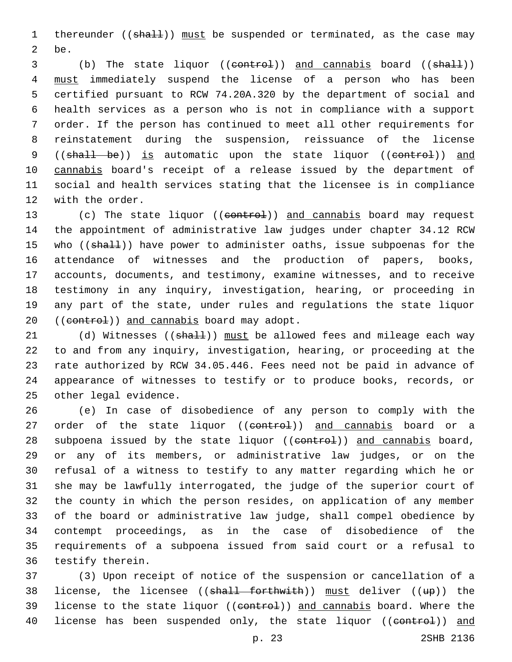1 thereunder ((shall)) must be suspended or terminated, as the case may 2 be.

 (b) The state liquor ((control)) and cannabis board ((shall)) must immediately suspend the license of a person who has been certified pursuant to RCW 74.20A.320 by the department of social and health services as a person who is not in compliance with a support order. If the person has continued to meet all other requirements for reinstatement during the suspension, reissuance of the license 9 ((shall be)) is automatic upon the state liquor ((control)) and 10 cannabis board's receipt of a release issued by the department of social and health services stating that the licensee is in compliance 12 with the order.

13 (c) The state liquor ((control)) and cannabis board may request the appointment of administrative law judges under chapter 34.12 RCW 15 who ((shall)) have power to administer oaths, issue subpoenas for the attendance of witnesses and the production of papers, books, accounts, documents, and testimony, examine witnesses, and to receive testimony in any inquiry, investigation, hearing, or proceeding in any part of the state, under rules and regulations the state liquor 20 ((control)) and cannabis board may adopt.

21 (d) Witnesses ((shall)) must be allowed fees and mileage each way 22 to and from any inquiry, investigation, hearing, or proceeding at the 23 rate authorized by RCW 34.05.446. Fees need not be paid in advance of 24 appearance of witnesses to testify or to produce books, records, or 25 other legal evidence.

 (e) In case of disobedience of any person to comply with the 27 order of the state liquor ((control)) and cannabis board or a 28 subpoena issued by the state liquor ((eontrol)) and cannabis board, or any of its members, or administrative law judges, or on the refusal of a witness to testify to any matter regarding which he or she may be lawfully interrogated, the judge of the superior court of the county in which the person resides, on application of any member of the board or administrative law judge, shall compel obedience by contempt proceedings, as in the case of disobedience of the requirements of a subpoena issued from said court or a refusal to 36 testify therein.

37 (3) Upon receipt of notice of the suspension or cancellation of a 38 license, the licensee ((shall forthwith)) must deliver ((up)) the 39 license to the state liquor ((control)) and cannabis board. Where the 40 license has been suspended only, the state liquor ((control)) and

p. 23 2SHB 2136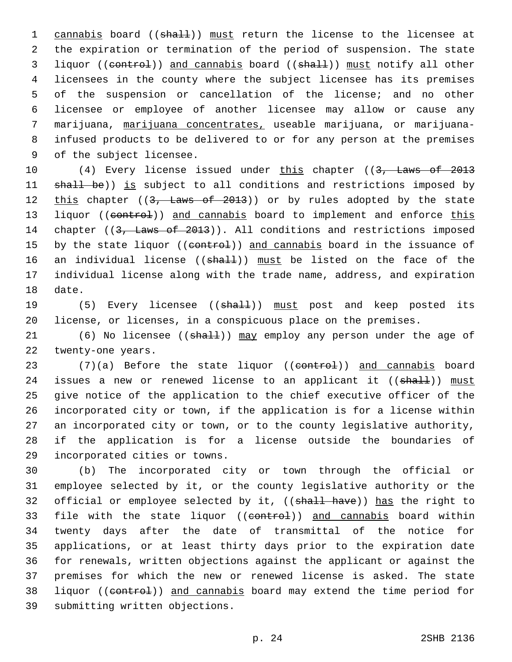1 cannabis board ((shall)) must return the license to the licensee at the expiration or termination of the period of suspension. The state 3 liquor ((control)) and cannabis board ((shall)) must notify all other licensees in the county where the subject licensee has its premises of the suspension or cancellation of the license; and no other licensee or employee of another licensee may allow or cause any marijuana, marijuana concentrates, useable marijuana, or marijuana- infused products to be delivered to or for any person at the premises 9 of the subject licensee.

10 (4) Every license issued under this chapter ((3, Laws of 2013 11 shall be)) is subject to all conditions and restrictions imposed by 12 this chapter ((3, Laws of 2013)) or by rules adopted by the state 13 liquor ((control)) and cannabis board to implement and enforce this 14 chapter ((3, Laws of 2013)). All conditions and restrictions imposed 15 by the state liquor ((control)) and cannabis board in the issuance of 16 an individual license ((shall)) must be listed on the face of the 17 individual license along with the trade name, address, and expiration 18 date.

19 (5) Every licensee ((shall)) must post and keep posted its 20 license, or licenses, in a conspicuous place on the premises.

21 (6) No licensee ((shall)) may employ any person under the age of 22 twenty-one years.

23 (7)(a) Before the state liquor ((control)) and cannabis board 24 issues a new or renewed license to an applicant it ((shall)) must 25 give notice of the application to the chief executive officer of the 26 incorporated city or town, if the application is for a license within 27 an incorporated city or town, or to the county legislative authority, 28 if the application is for a license outside the boundaries of 29 incorporated cities or towns.

30 (b) The incorporated city or town through the official or 31 employee selected by it, or the county legislative authority or the 32 official or employee selected by it, ((shall have)) has the right to 33 file with the state liquor ((control)) and cannabis board within 34 twenty days after the date of transmittal of the notice for 35 applications, or at least thirty days prior to the expiration date 36 for renewals, written objections against the applicant or against the 37 premises for which the new or renewed license is asked. The state 38 liquor ((control)) and cannabis board may extend the time period for 39 submitting written objections.

p. 24 2SHB 2136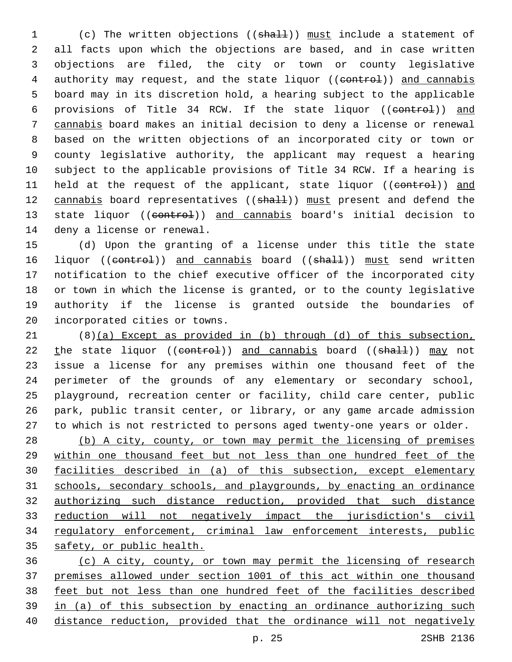1 (c) The written objections ((shall)) must include a statement of all facts upon which the objections are based, and in case written objections are filed, the city or town or county legislative 4 authority may request, and the state liquor ((control)) and cannabis board may in its discretion hold, a hearing subject to the applicable 6 provisions of Title 34 RCW. If the state liquor ((control)) and cannabis board makes an initial decision to deny a license or renewal based on the written objections of an incorporated city or town or county legislative authority, the applicant may request a hearing subject to the applicable provisions of Title 34 RCW. If a hearing is 11 held at the request of the applicant, state liquor ((control)) and 12 cannabis board representatives ((shall)) must present and defend the 13 state liquor ((control)) and cannabis board's initial decision to 14 deny a license or renewal.

 (d) Upon the granting of a license under this title the state 16 liquor ((control)) and cannabis board ((shall)) must send written notification to the chief executive officer of the incorporated city or town in which the license is granted, or to the county legislative authority if the license is granted outside the boundaries of 20 incorporated cities or towns.

 (8)(a) Except as provided in (b) through (d) of this subsection, 22 the state liquor ((control)) and cannabis board ((shall)) may not issue a license for any premises within one thousand feet of the perimeter of the grounds of any elementary or secondary school, playground, recreation center or facility, child care center, public park, public transit center, or library, or any game arcade admission to which is not restricted to persons aged twenty-one years or older.

 (b) A city, county, or town may permit the licensing of premises within one thousand feet but not less than one hundred feet of the facilities described in (a) of this subsection, except elementary schools, secondary schools, and playgrounds, by enacting an ordinance authorizing such distance reduction, provided that such distance reduction will not negatively impact the jurisdiction's civil regulatory enforcement, criminal law enforcement interests, public safety, or public health.

 (c) A city, county, or town may permit the licensing of research premises allowed under section 1001 of this act within one thousand feet but not less than one hundred feet of the facilities described in (a) of this subsection by enacting an ordinance authorizing such distance reduction, provided that the ordinance will not negatively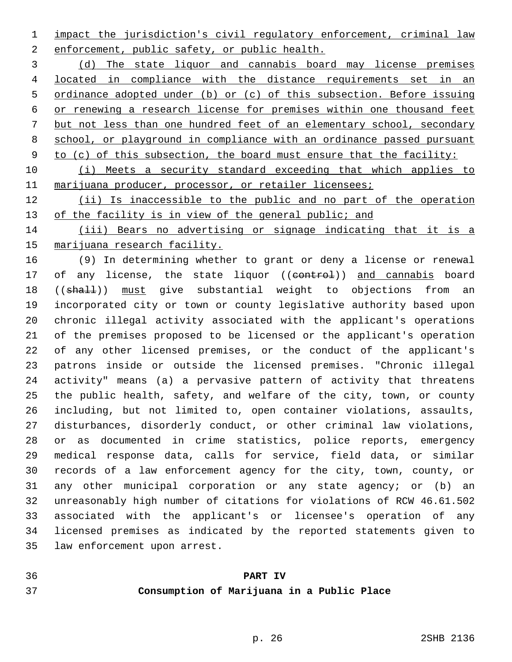impact the jurisdiction's civil regulatory enforcement, criminal law 2 enforcement, public safety, or public health.

 (d) The state liquor and cannabis board may license premises located in compliance with the distance requirements set in an ordinance adopted under (b) or (c) of this subsection. Before issuing or renewing a research license for premises within one thousand feet but not less than one hundred feet of an elementary school, secondary school, or playground in compliance with an ordinance passed pursuant 9 to (c) of this subsection, the board must ensure that the facility:

 (i) Meets a security standard exceeding that which applies to 11 marijuana producer, processor, or retailer licensees;

 (ii) Is inaccessible to the public and no part of the operation 13 of the facility is in view of the general public; and

 (iii) Bears no advertising or signage indicating that it is a marijuana research facility.

 (9) In determining whether to grant or deny a license or renewal 17 of any license, the state liquor ((control)) and cannabis board 18 ((shall)) must give substantial weight to objections from an incorporated city or town or county legislative authority based upon chronic illegal activity associated with the applicant's operations of the premises proposed to be licensed or the applicant's operation of any other licensed premises, or the conduct of the applicant's patrons inside or outside the licensed premises. "Chronic illegal activity" means (a) a pervasive pattern of activity that threatens the public health, safety, and welfare of the city, town, or county including, but not limited to, open container violations, assaults, disturbances, disorderly conduct, or other criminal law violations, or as documented in crime statistics, police reports, emergency medical response data, calls for service, field data, or similar records of a law enforcement agency for the city, town, county, or any other municipal corporation or any state agency; or (b) an unreasonably high number of citations for violations of RCW 46.61.502 associated with the applicant's or licensee's operation of any licensed premises as indicated by the reported statements given to 35 law enforcement upon arrest.

## **PART IV Consumption of Marijuana in a Public Place**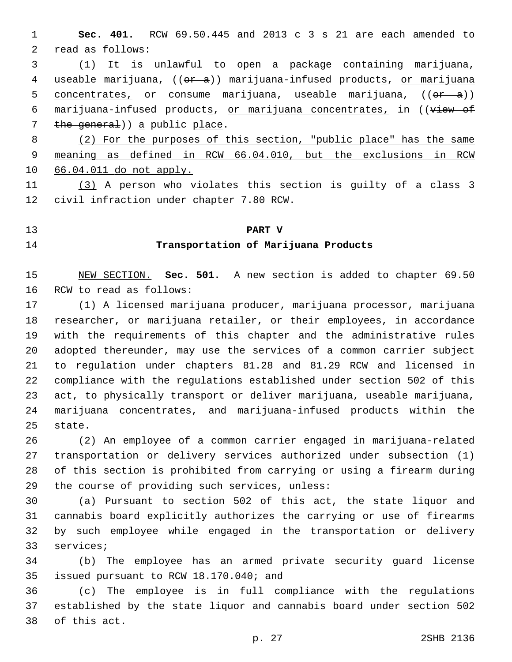**Sec. 401.** RCW 69.50.445 and 2013 c 3 s 21 are each amended to 2 read as follows:

 (1) It is unlawful to open a package containing marijuana, 4 useable marijuana, ((or a)) marijuana-infused products, or marijuana 5 concentrates, or consume marijuana, useable marijuana,  $((e^{2} - a))$ 6 marijuana-infused products, or marijuana concentrates, in ((view of 7 the general)) a public place.

 (2) For the purposes of this section, "public place" has the same meaning as defined in RCW 66.04.010, but the exclusions in RCW 66.04.011 do not apply.

 (3) A person who violates this section is guilty of a class 3 12 civil infraction under chapter 7.80 RCW.

### **PART V**

# **Transportation of Marijuana Products**

 NEW SECTION. **Sec. 501.** A new section is added to chapter 69.50 16 RCW to read as follows:

 (1) A licensed marijuana producer, marijuana processor, marijuana researcher, or marijuana retailer, or their employees, in accordance with the requirements of this chapter and the administrative rules adopted thereunder, may use the services of a common carrier subject to regulation under chapters 81.28 and 81.29 RCW and licensed in compliance with the regulations established under section 502 of this act, to physically transport or deliver marijuana, useable marijuana, marijuana concentrates, and marijuana-infused products within the 25 state.

 (2) An employee of a common carrier engaged in marijuana-related transportation or delivery services authorized under subsection (1) of this section is prohibited from carrying or using a firearm during 29 the course of providing such services, unless:

 (a) Pursuant to section 502 of this act, the state liquor and cannabis board explicitly authorizes the carrying or use of firearms by such employee while engaged in the transportation or delivery 33 services;

 (b) The employee has an armed private security guard license 35 issued pursuant to RCW 18.170.040; and

 (c) The employee is in full compliance with the regulations established by the state liquor and cannabis board under section 502 38 of this act.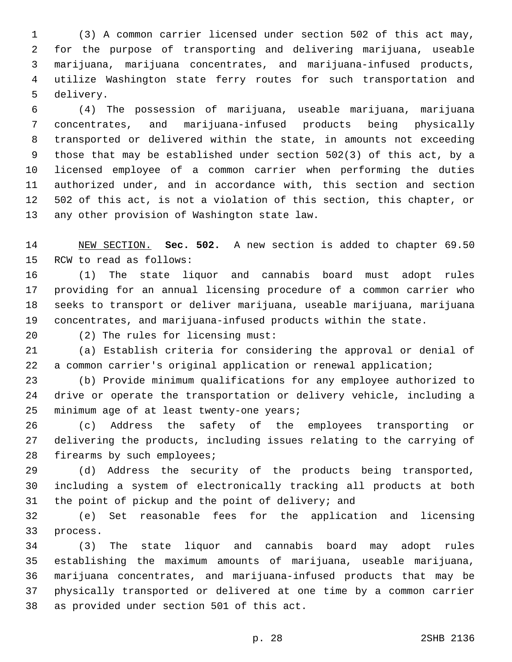(3) A common carrier licensed under section 502 of this act may, for the purpose of transporting and delivering marijuana, useable marijuana, marijuana concentrates, and marijuana-infused products, utilize Washington state ferry routes for such transportation and 5 delivery.

 (4) The possession of marijuana, useable marijuana, marijuana concentrates, and marijuana-infused products being physically transported or delivered within the state, in amounts not exceeding those that may be established under section 502(3) of this act, by a licensed employee of a common carrier when performing the duties authorized under, and in accordance with, this section and section 502 of this act, is not a violation of this section, this chapter, or 13 any other provision of Washington state law.

 NEW SECTION. **Sec. 502.** A new section is added to chapter 69.50 15 RCW to read as follows:

 (1) The state liquor and cannabis board must adopt rules providing for an annual licensing procedure of a common carrier who seeks to transport or deliver marijuana, useable marijuana, marijuana concentrates, and marijuana-infused products within the state.

20 (2) The rules for licensing must:

 (a) Establish criteria for considering the approval or denial of a common carrier's original application or renewal application;

 (b) Provide minimum qualifications for any employee authorized to drive or operate the transportation or delivery vehicle, including a 25 minimum age of at least twenty-one years;

 (c) Address the safety of the employees transporting or delivering the products, including issues relating to the carrying of 28 firearms by such employees;

 (d) Address the security of the products being transported, including a system of electronically tracking all products at both the point of pickup and the point of delivery; and

 (e) Set reasonable fees for the application and licensing 33 process.

 (3) The state liquor and cannabis board may adopt rules establishing the maximum amounts of marijuana, useable marijuana, marijuana concentrates, and marijuana-infused products that may be physically transported or delivered at one time by a common carrier 38 as provided under section 501 of this act.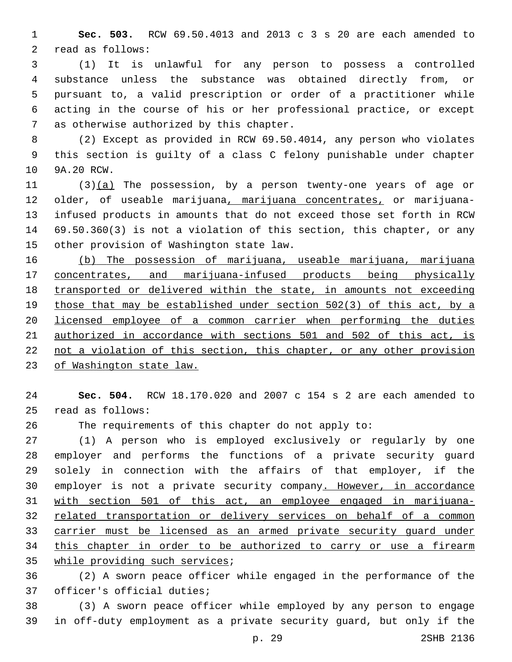**Sec. 503.** RCW 69.50.4013 and 2013 c 3 s 20 are each amended to 2 read as follows:

 (1) It is unlawful for any person to possess a controlled substance unless the substance was obtained directly from, or pursuant to, a valid prescription or order of a practitioner while acting in the course of his or her professional practice, or except 7 as otherwise authorized by this chapter.

 (2) Except as provided in RCW 69.50.4014, any person who violates this section is guilty of a class C felony punishable under chapter 10 9A.20 RCW.

11 (3)(a) The possession, by a person twenty-one years of age or older, of useable marijuana, marijuana concentrates, or marijuana- infused products in amounts that do not exceed those set forth in RCW 69.50.360(3) is not a violation of this section, this chapter, or any 15 other provision of Washington state law.

 (b) The possession of marijuana, useable marijuana, marijuana concentrates, and marijuana-infused products being physically transported or delivered within the state, in amounts not exceeding those that may be established under section 502(3) of this act, by a licensed employee of a common carrier when performing the duties authorized in accordance with sections 501 and 502 of this act, is not a violation of this section, this chapter, or any other provision of Washington state law.

 **Sec. 504.** RCW 18.170.020 and 2007 c 154 s 2 are each amended to read as follows:25

The requirements of this chapter do not apply to:

 (1) A person who is employed exclusively or regularly by one employer and performs the functions of a private security guard solely in connection with the affairs of that employer, if the employer is not a private security company. However, in accordance with section 501 of this act, an employee engaged in marijuana- related transportation or delivery services on behalf of a common carrier must be licensed as an armed private security guard under 34 this chapter in order to be authorized to carry or use a firearm 35 while providing such services;

 (2) A sworn peace officer while engaged in the performance of the 37 officer's official duties;

 (3) A sworn peace officer while employed by any person to engage in off-duty employment as a private security guard, but only if the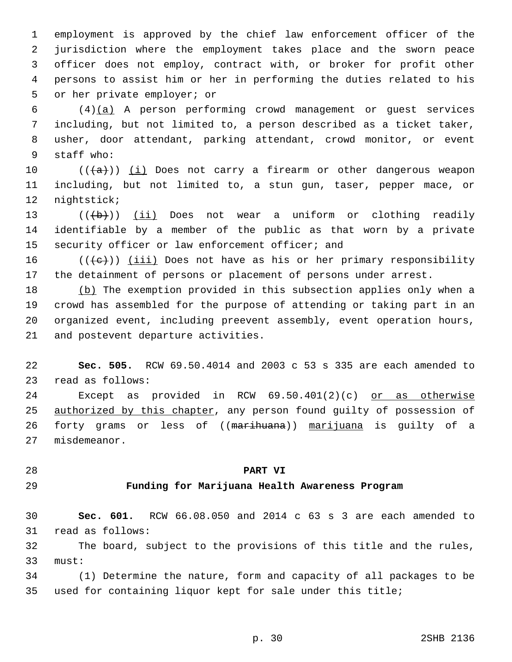employment is approved by the chief law enforcement officer of the jurisdiction where the employment takes place and the sworn peace officer does not employ, contract with, or broker for profit other persons to assist him or her in performing the duties related to his 5 or her private employer; or

 (4)(a) A person performing crowd management or guest services including, but not limited to, a person described as a ticket taker, usher, door attendant, parking attendant, crowd monitor, or event 9 staff who:

 $((+a))$  (i) Does not carry a firearm or other dangerous weapon including, but not limited to, a stun gun, taser, pepper mace, or 12 nightstick;

13  $((\{b\})$  (ii) Does not wear a uniform or clothing readily identifiable by a member of the public as that worn by a private 15 security officer or law enforcement officer; and

 $((\{e\})$  (iii) Does not have as his or her primary responsibility the detainment of persons or placement of persons under arrest.

 (b) The exemption provided in this subsection applies only when a crowd has assembled for the purpose of attending or taking part in an organized event, including preevent assembly, event operation hours, 21 and postevent departure activities.

 **Sec. 505.** RCW 69.50.4014 and 2003 c 53 s 335 are each amended to 23 read as follows:

 Except as provided in RCW 69.50.401(2)(c) or as otherwise 25 authorized by this chapter, any person found guilty of possession of 26 forty grams or less of ((marihuana)) marijuana is guilty of a 27 misdemeanor.

#### **PART VI**

#### **Funding for Marijuana Health Awareness Program**

 **Sec. 601.** RCW 66.08.050 and 2014 c 63 s 3 are each amended to 31 read as follows:

 The board, subject to the provisions of this title and the rules, 33 must:

 (1) Determine the nature, form and capacity of all packages to be used for containing liquor kept for sale under this title;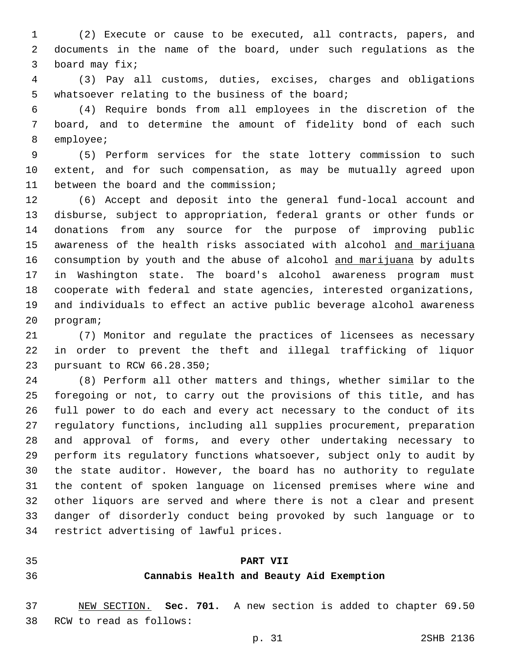(2) Execute or cause to be executed, all contracts, papers, and documents in the name of the board, under such regulations as the 3 board may fix;

 (3) Pay all customs, duties, excises, charges and obligations 5 whatsoever relating to the business of the board;

 (4) Require bonds from all employees in the discretion of the board, and to determine the amount of fidelity bond of each such 8 employee;

 (5) Perform services for the state lottery commission to such extent, and for such compensation, as may be mutually agreed upon 11 between the board and the commission;

 (6) Accept and deposit into the general fund-local account and disburse, subject to appropriation, federal grants or other funds or donations from any source for the purpose of improving public awareness of the health risks associated with alcohol and marijuana consumption by youth and the abuse of alcohol and marijuana by adults in Washington state. The board's alcohol awareness program must cooperate with federal and state agencies, interested organizations, and individuals to effect an active public beverage alcohol awareness 20 program;

 (7) Monitor and regulate the practices of licensees as necessary in order to prevent the theft and illegal trafficking of liquor 23 pursuant to RCW 66.28.350;

 (8) Perform all other matters and things, whether similar to the foregoing or not, to carry out the provisions of this title, and has full power to do each and every act necessary to the conduct of its regulatory functions, including all supplies procurement, preparation and approval of forms, and every other undertaking necessary to perform its regulatory functions whatsoever, subject only to audit by the state auditor. However, the board has no authority to regulate the content of spoken language on licensed premises where wine and other liquors are served and where there is not a clear and present danger of disorderly conduct being provoked by such language or to 34 restrict advertising of lawful prices.

#### **PART VII**

#### **Cannabis Health and Beauty Aid Exemption**

 NEW SECTION. **Sec. 701.** A new section is added to chapter 69.50 38 RCW to read as follows: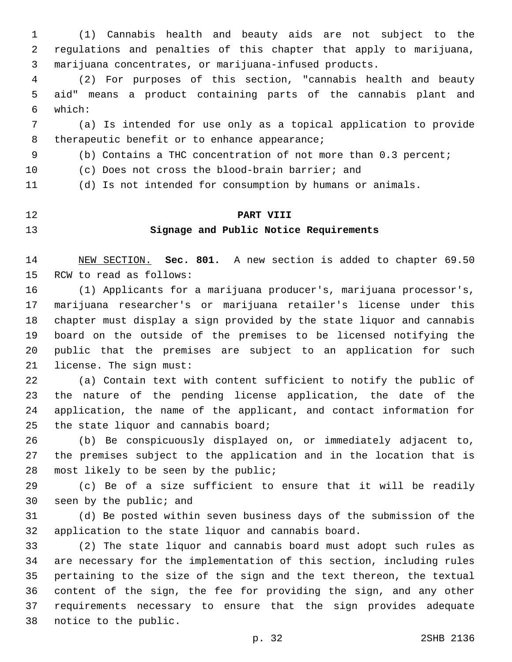(1) Cannabis health and beauty aids are not subject to the regulations and penalties of this chapter that apply to marijuana, marijuana concentrates, or marijuana-infused products.

 (2) For purposes of this section, "cannabis health and beauty aid" means a product containing parts of the cannabis plant and which:6

 (a) Is intended for use only as a topical application to provide 8 therapeutic benefit or to enhance appearance;

(b) Contains a THC concentration of not more than 0.3 percent;

(c) Does not cross the blood-brain barrier; and

(d) Is not intended for consumption by humans or animals.

#### **PART VIII**

## **Signage and Public Notice Requirements**

 NEW SECTION. **Sec. 801.** A new section is added to chapter 69.50 15 RCW to read as follows:

 (1) Applicants for a marijuana producer's, marijuana processor's, marijuana researcher's or marijuana retailer's license under this chapter must display a sign provided by the state liquor and cannabis board on the outside of the premises to be licensed notifying the public that the premises are subject to an application for such 21 license. The sign must:

 (a) Contain text with content sufficient to notify the public of the nature of the pending license application, the date of the application, the name of the applicant, and contact information for 25 the state liquor and cannabis board;

 (b) Be conspicuously displayed on, or immediately adjacent to, the premises subject to the application and in the location that is 28 most likely to be seen by the public;

 (c) Be of a size sufficient to ensure that it will be readily 30 seen by the public; and

 (d) Be posted within seven business days of the submission of the application to the state liquor and cannabis board.

 (2) The state liquor and cannabis board must adopt such rules as are necessary for the implementation of this section, including rules pertaining to the size of the sign and the text thereon, the textual content of the sign, the fee for providing the sign, and any other requirements necessary to ensure that the sign provides adequate 38 notice to the public.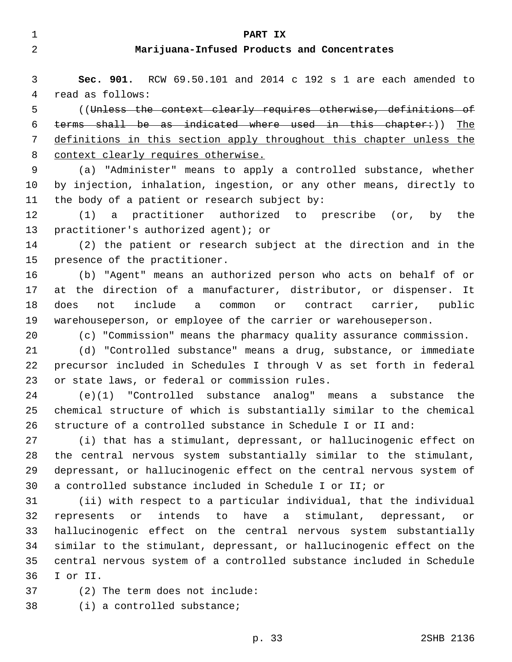| 2  | Marijuana-Infused Products and Concentrates                           |
|----|-----------------------------------------------------------------------|
| 3  | Sec. 901. RCW 69.50.101 and 2014 c 192 s 1 are each amended to        |
| 4  | read as follows:                                                      |
| 5  | ((Unless the context clearly requires otherwise, definitions of       |
| 6  | terms shall be as indicated where used in this chapter:)) The         |
| 7  | definitions in this section apply throughout this chapter unless the  |
| 8  | context clearly requires otherwise.                                   |
| 9  | (a) "Administer" means to apply a controlled substance, whether       |
| 10 | by injection, inhalation, ingestion, or any other means, directly to  |
| 11 | the body of a patient or research subject by:                         |
| 12 | (1) a practitioner authorized to prescribe (or, by the                |
| 13 | practitioner's authorized agent); or                                  |
| 14 | (2) the patient or research subject at the direction and in the       |
| 15 | presence of the practitioner.                                         |
| 16 | (b) "Agent" means an authorized person who acts on behalf of or       |
| 17 | at the direction of a manufacturer, distributor, or dispenser. It     |
| 18 | include a common or contract carrier, public<br>does<br>not           |
| 19 | warehouseperson, or employee of the carrier or warehouseperson.       |
| 20 | (c) "Commission" means the pharmacy quality assurance commission.     |
| 21 | (d) "Controlled substance" means a drug, substance, or immediate      |
| 22 | precursor included in Schedules I through V as set forth in federal   |
| 23 | or state laws, or federal or commission rules.                        |
| 24 | (e)(1) "Controlled substance analog" means a substance the            |
| 25 | chemical structure of which is substantially similar to the chemical  |
| 26 | structure of a controlled substance in Schedule I or II and:          |
| 27 | (i) that has a stimulant, depressant, or hallucinogenic effect on     |
| 28 | the central nervous system substantially similar to the stimulant,    |
| 29 | depressant, or hallucinogenic effect on the central nervous system of |
| 30 | a controlled substance included in Schedule I or II; or               |
| 31 | (ii) with respect to a particular individual, that the individual     |
| 32 | intends to have a stimulant, depressant, or<br>represents or          |
| 33 | hallucinogenic effect on the central nervous system substantially     |
| 34 | similar to the stimulant, depressant, or hallucinogenic effect on the |
| 35 | central nervous system of a controlled substance included in Schedule |
| 36 | I or II.                                                              |
| 37 | (2) The term does not include:                                        |
| 38 | $(i)$ a controlled substance;                                         |
|    | p. 33<br>2SHB 2136                                                    |
|    |                                                                       |

**PART IX**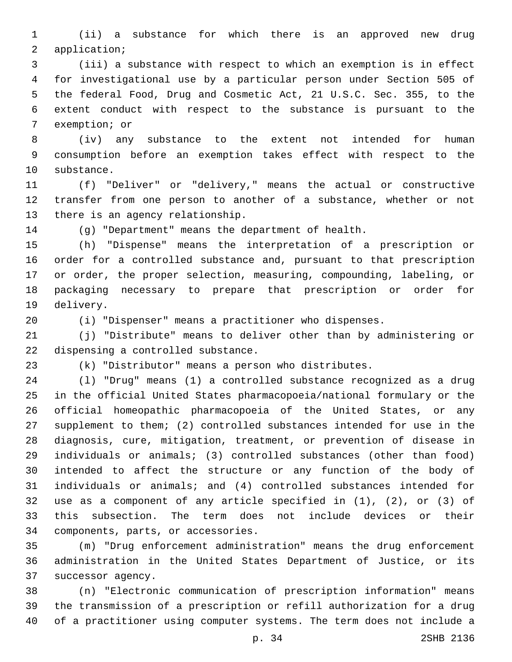(ii) a substance for which there is an approved new drug 2 application;

 (iii) a substance with respect to which an exemption is in effect for investigational use by a particular person under Section 505 of the federal Food, Drug and Cosmetic Act, 21 U.S.C. Sec. 355, to the extent conduct with respect to the substance is pursuant to the 7 exemption; or

 (iv) any substance to the extent not intended for human consumption before an exemption takes effect with respect to the 10 substance.

 (f) "Deliver" or "delivery," means the actual or constructive transfer from one person to another of a substance, whether or not 13 there is an agency relationship.

(g) "Department" means the department of health.

 (h) "Dispense" means the interpretation of a prescription or order for a controlled substance and, pursuant to that prescription or order, the proper selection, measuring, compounding, labeling, or packaging necessary to prepare that prescription or order for 19 delivery.

(i) "Dispenser" means a practitioner who dispenses.

 (j) "Distribute" means to deliver other than by administering or 22 dispensing a controlled substance.

(k) "Distributor" means a person who distributes.

 (l) "Drug" means (1) a controlled substance recognized as a drug in the official United States pharmacopoeia/national formulary or the official homeopathic pharmacopoeia of the United States, or any supplement to them; (2) controlled substances intended for use in the diagnosis, cure, mitigation, treatment, or prevention of disease in individuals or animals; (3) controlled substances (other than food) intended to affect the structure or any function of the body of individuals or animals; and (4) controlled substances intended for use as a component of any article specified in (1), (2), or (3) of this subsection. The term does not include devices or their 34 components, parts, or accessories.

 (m) "Drug enforcement administration" means the drug enforcement administration in the United States Department of Justice, or its 37 successor agency.

 (n) "Electronic communication of prescription information" means the transmission of a prescription or refill authorization for a drug of a practitioner using computer systems. The term does not include a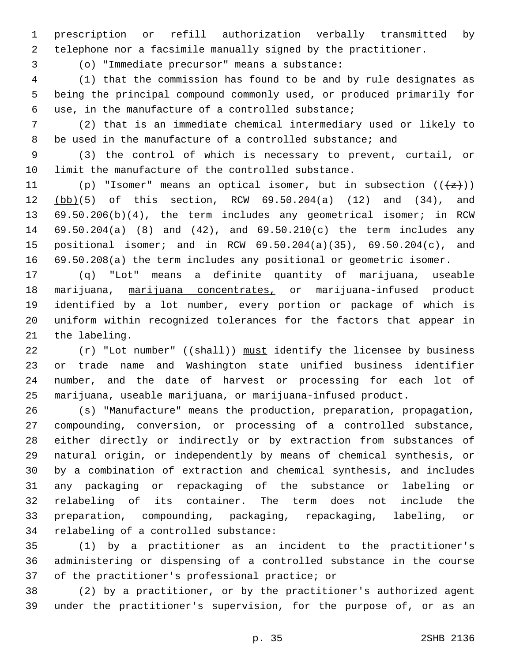prescription or refill authorization verbally transmitted by telephone nor a facsimile manually signed by the practitioner.

(o) "Immediate precursor" means a substance:3

 (1) that the commission has found to be and by rule designates as being the principal compound commonly used, or produced primarily for use, in the manufacture of a controlled substance;6

 (2) that is an immediate chemical intermediary used or likely to be used in the manufacture of a controlled substance; and

 (3) the control of which is necessary to prevent, curtail, or limit the manufacture of the controlled substance.

11 (p) "Isomer" means an optical isomer, but in subsection  $((+z))$  (bb)(5) of this section, RCW 69.50.204(a) (12) and (34), and 69.50.206(b)(4), the term includes any geometrical isomer; in RCW 69.50.204(a) (8) and (42), and 69.50.210(c) the term includes any positional isomer; and in RCW 69.50.204(a)(35), 69.50.204(c), and 69.50.208(a) the term includes any positional or geometric isomer.

 (q) "Lot" means a definite quantity of marijuana, useable 18 marijuana, marijuana concentrates, or marijuana-infused product identified by a lot number, every portion or package of which is uniform within recognized tolerances for the factors that appear in 21 the labeling.

 $(r)$  "Lot number" ((shall)) must identify the licensee by business or trade name and Washington state unified business identifier number, and the date of harvest or processing for each lot of marijuana, useable marijuana, or marijuana-infused product.

 (s) "Manufacture" means the production, preparation, propagation, compounding, conversion, or processing of a controlled substance, either directly or indirectly or by extraction from substances of natural origin, or independently by means of chemical synthesis, or by a combination of extraction and chemical synthesis, and includes any packaging or repackaging of the substance or labeling or relabeling of its container. The term does not include the preparation, compounding, packaging, repackaging, labeling, or 34 relabeling of a controlled substance:

 (1) by a practitioner as an incident to the practitioner's administering or dispensing of a controlled substance in the course 37 of the practitioner's professional practice; or

 (2) by a practitioner, or by the practitioner's authorized agent under the practitioner's supervision, for the purpose of, or as an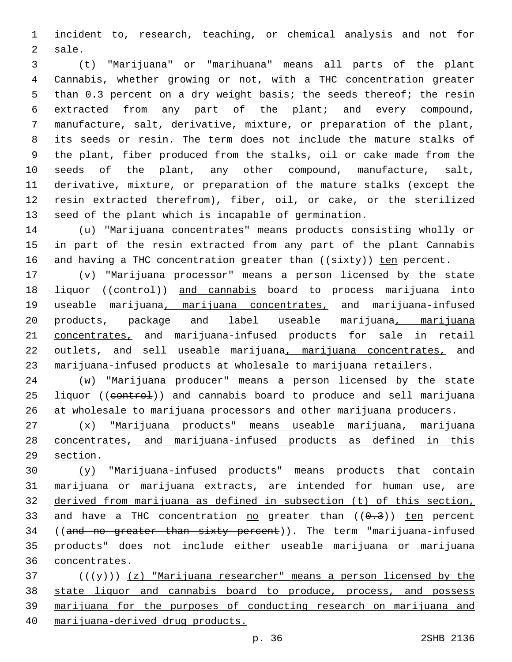incident to, research, teaching, or chemical analysis and not for 2 sale.

 (t) "Marijuana" or "marihuana" means all parts of the plant Cannabis, whether growing or not, with a THC concentration greater than 0.3 percent on a dry weight basis; the seeds thereof; the resin extracted from any part of the plant; and every compound, manufacture, salt, derivative, mixture, or preparation of the plant, its seeds or resin. The term does not include the mature stalks of the plant, fiber produced from the stalks, oil or cake made from the seeds of the plant, any other compound, manufacture, salt, derivative, mixture, or preparation of the mature stalks (except the resin extracted therefrom), fiber, oil, or cake, or the sterilized seed of the plant which is incapable of germination.

 (u) "Marijuana concentrates" means products consisting wholly or in part of the resin extracted from any part of the plant Cannabis 16 and having a THC concentration greater than ((sixty)) ten percent.

 (v) "Marijuana processor" means a person licensed by the state 18 liquor ((control)) and cannabis board to process marijuana into useable marijuana, marijuana concentrates, and marijuana-infused products, package and label useable marijuana, marijuana concentrates, and marijuana-infused products for sale in retail 22 outlets, and sell useable marijuana, marijuana concentrates, and marijuana-infused products at wholesale to marijuana retailers.

 (w) "Marijuana producer" means a person licensed by the state 25 liquor ((control)) and cannabis board to produce and sell marijuana at wholesale to marijuana processors and other marijuana producers.

 (x) "Marijuana products" means useable marijuana, marijuana concentrates, and marijuana-infused products as defined in this section.

 (y) "Marijuana-infused products" means products that contain 31 marijuana or marijuana extracts, are intended for human use, are derived from marijuana as defined in subsection (t) of this section, 33 and have a THC concentration no greater than  $((0.3))$  ten percent 34 ((and no greater than sixty percent)). The term "marijuana-infused products" does not include either useable marijuana or marijuana concentrates.36

 ( $(\frac{+}{2})$ ) (z) "Marijuana researcher" means a person licensed by the state liquor and cannabis board to produce, process, and possess marijuana for the purposes of conducting research on marijuana and marijuana-derived drug products.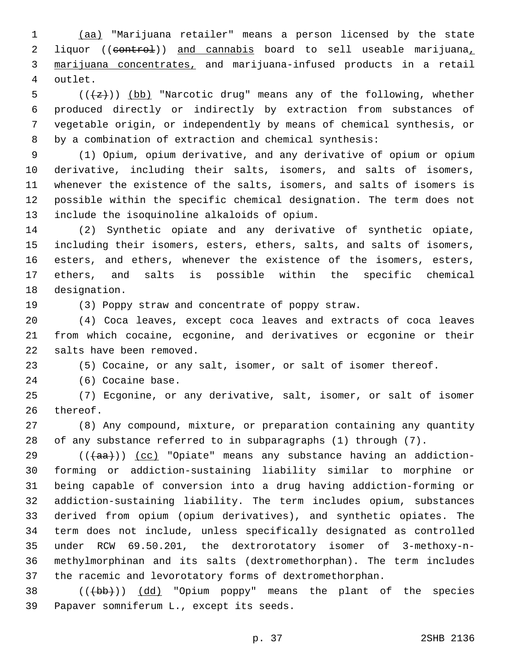(aa) "Marijuana retailer" means a person licensed by the state 2 liquor ((control)) and cannabis board to sell useable marijuana, marijuana concentrates, and marijuana-infused products in a retail 4 outlet.

5 ( $(\overline{\overline{z}})$ ) (bb) "Narcotic drug" means any of the following, whether produced directly or indirectly by extraction from substances of vegetable origin, or independently by means of chemical synthesis, or by a combination of extraction and chemical synthesis:

 (1) Opium, opium derivative, and any derivative of opium or opium derivative, including their salts, isomers, and salts of isomers, whenever the existence of the salts, isomers, and salts of isomers is possible within the specific chemical designation. The term does not 13 include the isoquinoline alkaloids of opium.

 (2) Synthetic opiate and any derivative of synthetic opiate, including their isomers, esters, ethers, salts, and salts of isomers, esters, and ethers, whenever the existence of the isomers, esters, ethers, and salts is possible within the specific chemical 18 designation.

(3) Poppy straw and concentrate of poppy straw.

 (4) Coca leaves, except coca leaves and extracts of coca leaves from which cocaine, ecgonine, and derivatives or ecgonine or their 22 salts have been removed.

(5) Cocaine, or any salt, isomer, or salt of isomer thereof.

24 (6) Cocaine base.

 (7) Ecgonine, or any derivative, salt, isomer, or salt of isomer 26 thereof.

 (8) Any compound, mixture, or preparation containing any quantity of any substance referred to in subparagraphs (1) through (7).

29 ( $(\overline{4aa})$ ) (cc) "Opiate" means any substance having an addiction- forming or addiction-sustaining liability similar to morphine or being capable of conversion into a drug having addiction-forming or addiction-sustaining liability. The term includes opium, substances derived from opium (opium derivatives), and synthetic opiates. The term does not include, unless specifically designated as controlled under RCW 69.50.201, the dextrorotatory isomer of 3-methoxy-n- methylmorphinan and its salts (dextromethorphan). The term includes the racemic and levorotatory forms of dextromethorphan.

38 (((bb))) (dd) "Opium poppy" means the plant of the species 39 Papaver somniferum L., except its seeds.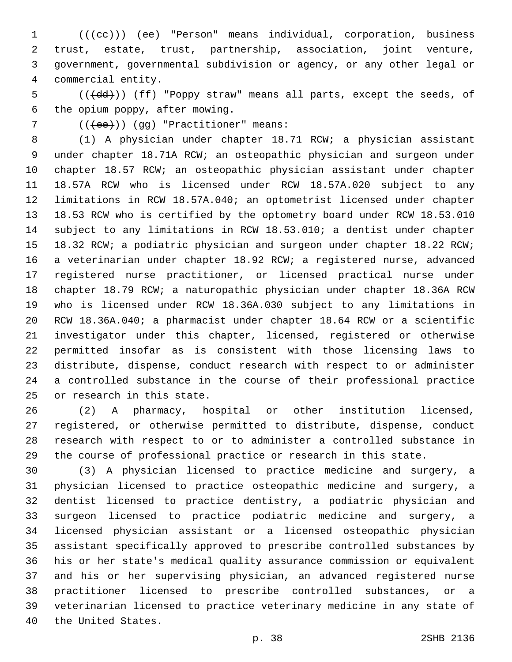1 (((ee)) (ee) "Person" means individual, corporation, business trust, estate, trust, partnership, association, joint venture, government, governmental subdivision or agency, or any other legal or commercial entity.4

5 (( $\text{(\ddot{dd})})$ ) (ff) "Poppy straw" means all parts, except the seeds, of 6 the opium poppy, after mowing.

7 (((ee))) (qq) "Practitioner" means:

 (1) A physician under chapter 18.71 RCW; a physician assistant under chapter 18.71A RCW; an osteopathic physician and surgeon under chapter 18.57 RCW; an osteopathic physician assistant under chapter 18.57A RCW who is licensed under RCW 18.57A.020 subject to any limitations in RCW 18.57A.040; an optometrist licensed under chapter 18.53 RCW who is certified by the optometry board under RCW 18.53.010 subject to any limitations in RCW 18.53.010; a dentist under chapter 15 18.32 RCW; a podiatric physician and surgeon under chapter 18.22 RCW; a veterinarian under chapter 18.92 RCW; a registered nurse, advanced registered nurse practitioner, or licensed practical nurse under chapter 18.79 RCW; a naturopathic physician under chapter 18.36A RCW who is licensed under RCW 18.36A.030 subject to any limitations in RCW 18.36A.040; a pharmacist under chapter 18.64 RCW or a scientific investigator under this chapter, licensed, registered or otherwise permitted insofar as is consistent with those licensing laws to distribute, dispense, conduct research with respect to or administer a controlled substance in the course of their professional practice 25 or research in this state.

 (2) A pharmacy, hospital or other institution licensed, registered, or otherwise permitted to distribute, dispense, conduct research with respect to or to administer a controlled substance in the course of professional practice or research in this state.

 (3) A physician licensed to practice medicine and surgery, a physician licensed to practice osteopathic medicine and surgery, a dentist licensed to practice dentistry, a podiatric physician and surgeon licensed to practice podiatric medicine and surgery, a licensed physician assistant or a licensed osteopathic physician assistant specifically approved to prescribe controlled substances by his or her state's medical quality assurance commission or equivalent and his or her supervising physician, an advanced registered nurse practitioner licensed to prescribe controlled substances, or a veterinarian licensed to practice veterinary medicine in any state of 40 the United States.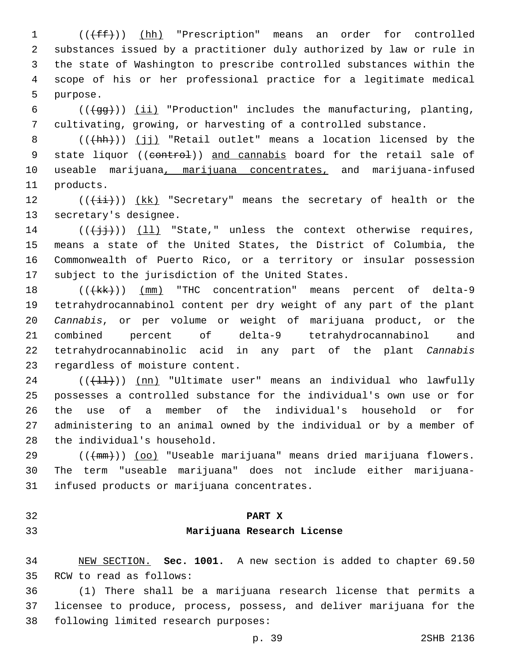1 (( $(fff)$ ) (hh) "Prescription" means an order for controlled 2 substances issued by a practitioner duly authorized by law or rule in 3 the state of Washington to prescribe controlled substances within the 4 scope of his or her professional practice for a legitimate medical 5 purpose.

6  $((\text{+gg+}))$  (ii) "Production" includes the manufacturing, planting, 7 cultivating, growing, or harvesting of a controlled substance.

8 (((+hh)) (jj) "Retail outlet" means a location licensed by the 9 state liquor ((control)) and cannabis board for the retail sale of 10 useable marijuana, marijuana concentrates, and marijuana-infused 11 products.

12  $((\overrightarrow{\pm}i))$   $(kk)$  "Secretary" means the secretary of health or the 13 secretary's designee.

 ( $(\frac{1}{1},\frac{1}{1})$ ) (11) "State," unless the context otherwise requires, means a state of the United States, the District of Columbia, the Commonwealth of Puerto Rico, or a territory or insular possession 17 subject to the jurisdiction of the United States.

18 (( $(kk)$ )) (mm) "THC concentration" means percent of delta-9 tetrahydrocannabinol content per dry weight of any part of the plant *Cannabis*, or per volume or weight of marijuana product, or the combined percent of delta-9 tetrahydrocannabinol and tetrahydrocannabinolic acid in any part of the plant *Cannabis* 23 regardless of moisture content.

24 ( $(\frac{11}{1})$ ) (nn) "Ultimate user" means an individual who lawfully 25 possesses a controlled substance for the individual's own use or for 26 the use of a member of the individual's household or for 27 administering to an animal owned by the individual or by a member of 28 the individual's household.

29 (((mm))) (oo) "Useable marijuana" means dried marijuana flowers. 30 The term "useable marijuana" does not include either marijuana-31 infused products or marijuana concentrates.

### 32 **PART X**

### 33 **Marijuana Research License**

34 NEW SECTION. **Sec. 1001.** A new section is added to chapter 69.50 35 RCW to read as follows:

36 (1) There shall be a marijuana research license that permits a 37 licensee to produce, process, possess, and deliver marijuana for the 38 following limited research purposes: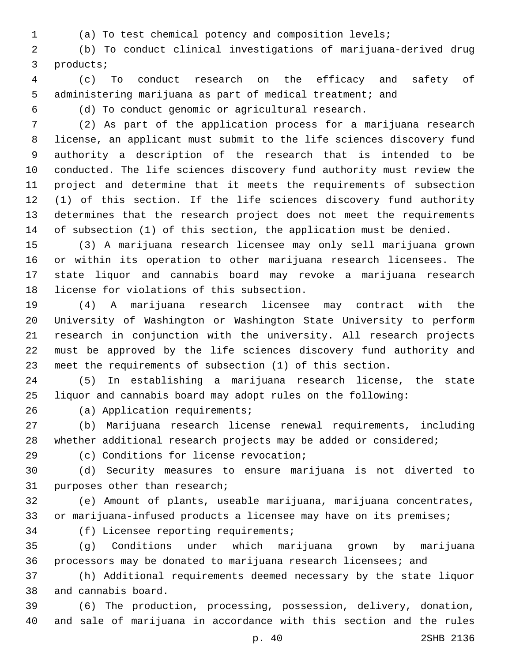- 
- (a) To test chemical potency and composition levels;

 (b) To conduct clinical investigations of marijuana-derived drug 3 products;

 (c) To conduct research on the efficacy and safety of administering marijuana as part of medical treatment; and

(d) To conduct genomic or agricultural research.

 (2) As part of the application process for a marijuana research license, an applicant must submit to the life sciences discovery fund authority a description of the research that is intended to be conducted. The life sciences discovery fund authority must review the project and determine that it meets the requirements of subsection (1) of this section. If the life sciences discovery fund authority determines that the research project does not meet the requirements of subsection (1) of this section, the application must be denied.

 (3) A marijuana research licensee may only sell marijuana grown or within its operation to other marijuana research licensees. The state liquor and cannabis board may revoke a marijuana research 18 license for violations of this subsection.

 (4) A marijuana research licensee may contract with the University of Washington or Washington State University to perform research in conjunction with the university. All research projects must be approved by the life sciences discovery fund authority and meet the requirements of subsection (1) of this section.

 (5) In establishing a marijuana research license, the state liquor and cannabis board may adopt rules on the following:

26 (a) Application requirements;

 (b) Marijuana research license renewal requirements, including 28 whether additional research projects may be added or considered;

(c) Conditions for license revocation;29

 (d) Security measures to ensure marijuana is not diverted to 31 purposes other than research;

 (e) Amount of plants, useable marijuana, marijuana concentrates, or marijuana-infused products a licensee may have on its premises;

34 (f) Licensee reporting requirements;

 (g) Conditions under which marijuana grown by marijuana processors may be donated to marijuana research licensees; and

 (h) Additional requirements deemed necessary by the state liquor 38 and cannabis board.

 (6) The production, processing, possession, delivery, donation, and sale of marijuana in accordance with this section and the rules

p. 40 2SHB 2136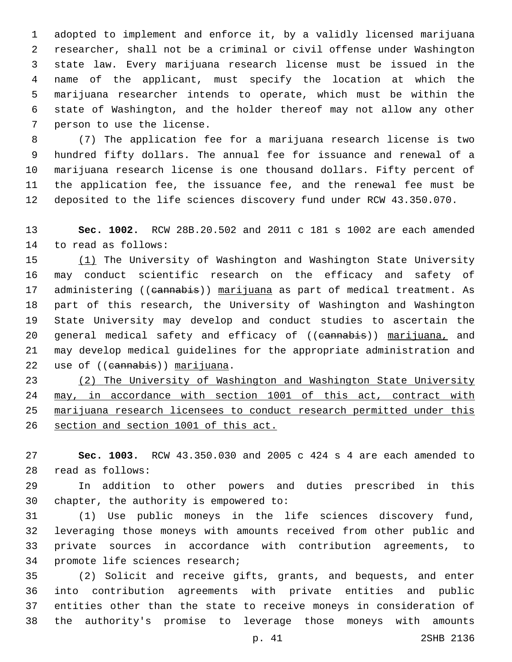adopted to implement and enforce it, by a validly licensed marijuana researcher, shall not be a criminal or civil offense under Washington state law. Every marijuana research license must be issued in the name of the applicant, must specify the location at which the marijuana researcher intends to operate, which must be within the state of Washington, and the holder thereof may not allow any other 7 person to use the license.

 (7) The application fee for a marijuana research license is two hundred fifty dollars. The annual fee for issuance and renewal of a marijuana research license is one thousand dollars. Fifty percent of the application fee, the issuance fee, and the renewal fee must be deposited to the life sciences discovery fund under RCW 43.350.070.

 **Sec. 1002.** RCW 28B.20.502 and 2011 c 181 s 1002 are each amended 14 to read as follows:

15 (1) The University of Washington and Washington State University may conduct scientific research on the efficacy and safety of 17 administering ((cannabis)) marijuana as part of medical treatment. As part of this research, the University of Washington and Washington State University may develop and conduct studies to ascertain the 20 general medical safety and efficacy of ((cannabis)) marijuana, and may develop medical guidelines for the appropriate administration and 22 use of ((cannabis)) marijuana.

 (2) The University of Washington and Washington State University may, in accordance with section 1001 of this act, contract with marijuana research licensees to conduct research permitted under this section and section 1001 of this act.

 **Sec. 1003.** RCW 43.350.030 and 2005 c 424 s 4 are each amended to read as follows:28

 In addition to other powers and duties prescribed in this 30 chapter, the authority is empowered to:

 (1) Use public moneys in the life sciences discovery fund, leveraging those moneys with amounts received from other public and private sources in accordance with contribution agreements, to 34 promote life sciences research;

 (2) Solicit and receive gifts, grants, and bequests, and enter into contribution agreements with private entities and public entities other than the state to receive moneys in consideration of the authority's promise to leverage those moneys with amounts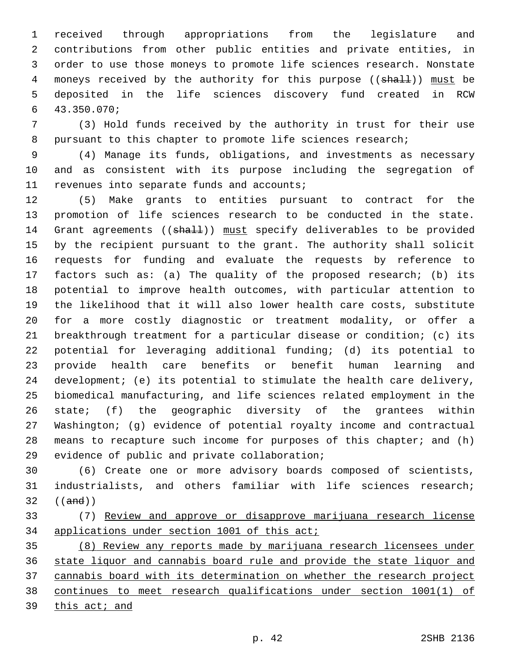received through appropriations from the legislature and contributions from other public entities and private entities, in order to use those moneys to promote life sciences research. Nonstate 4 moneys received by the authority for this purpose ((shall)) must be deposited in the life sciences discovery fund created in RCW 43.350.070;6

 (3) Hold funds received by the authority in trust for their use pursuant to this chapter to promote life sciences research;

 (4) Manage its funds, obligations, and investments as necessary and as consistent with its purpose including the segregation of 11 revenues into separate funds and accounts;

 (5) Make grants to entities pursuant to contract for the promotion of life sciences research to be conducted in the state. 14 Grant agreements ((shall)) must specify deliverables to be provided by the recipient pursuant to the grant. The authority shall solicit requests for funding and evaluate the requests by reference to factors such as: (a) The quality of the proposed research; (b) its potential to improve health outcomes, with particular attention to the likelihood that it will also lower health care costs, substitute for a more costly diagnostic or treatment modality, or offer a breakthrough treatment for a particular disease or condition; (c) its potential for leveraging additional funding; (d) its potential to provide health care benefits or benefit human learning and development; (e) its potential to stimulate the health care delivery, biomedical manufacturing, and life sciences related employment in the state; (f) the geographic diversity of the grantees within Washington; (g) evidence of potential royalty income and contractual 28 means to recapture such income for purposes of this chapter; and (h) 29 evidence of public and private collaboration;

 (6) Create one or more advisory boards composed of scientists, industrialists, and others familiar with life sciences research; ((and))

 (7) Review and approve or disapprove marijuana research license applications under section 1001 of this act;

 (8) Review any reports made by marijuana research licensees under state liquor and cannabis board rule and provide the state liquor and cannabis board with its determination on whether the research project continues to meet research qualifications under section 1001(1) of 39 this act; and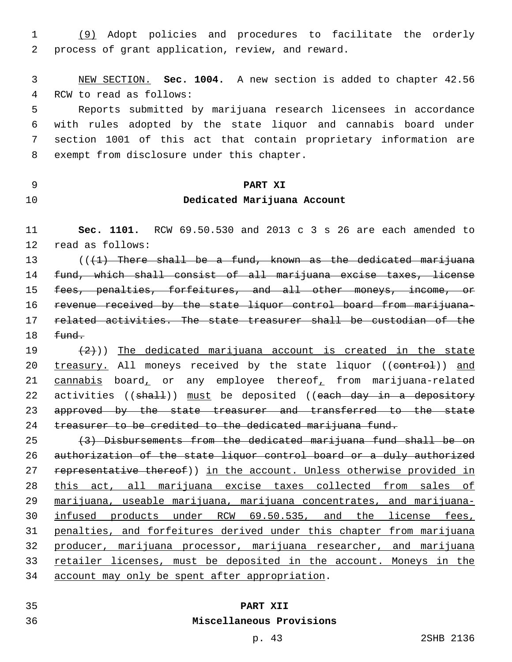(9) Adopt policies and procedures to facilitate the orderly 2 process of grant application, review, and reward.

 NEW SECTION. **Sec. 1004.** A new section is added to chapter 42.56 4 RCW to read as follows:

 Reports submitted by marijuana research licensees in accordance with rules adopted by the state liquor and cannabis board under section 1001 of this act that contain proprietary information are 8 exempt from disclosure under this chapter.

## **PART XI Dedicated Marijuana Account**

 **Sec. 1101.** RCW 69.50.530 and 2013 c 3 s 26 are each amended to 12 read as follows:

 $($   $($   $($   $+1)$  There shall be a fund, known as the dedicated marijuana fund, which shall consist of all marijuana excise taxes, license fees, penalties, forfeitures, and all other moneys, income, or revenue received by the state liquor control board from marijuana- related activities. The state treasurer shall be custodian of the  $fund.$ 

 $(2)$ )) The dedicated marijuana account is created in the state 20 treasury. All moneys received by the state liquor ((control)) and 21 cannabis board, or any employee thereof, from marijuana-related 22 activities ((shall)) must be deposited ((each day in a depository 23 approved by the state treasurer and transferred to the state 24 treasurer to be credited to the dedicated marijuana fund.

 (3) Disbursements from the dedicated marijuana fund shall be on authorization of the state liquor control board or a duly authorized 27 representative thereof)) in the account. Unless otherwise provided in this act, all marijuana excise taxes collected from sales of marijuana, useable marijuana, marijuana concentrates, and marijuana- infused products under RCW 69.50.535, and the license fees, penalties, and forfeitures derived under this chapter from marijuana producer, marijuana processor, marijuana researcher, and marijuana retailer licenses, must be deposited in the account. Moneys in the 34 account may only be spent after appropriation.

## **PART XII**

#### **Miscellaneous Provisions**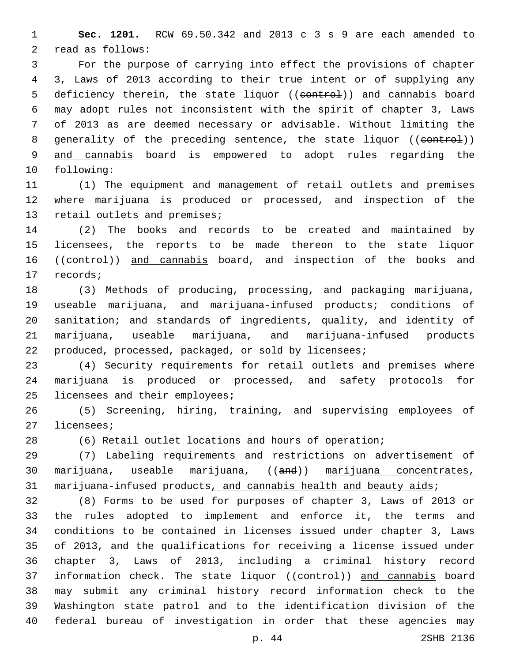**Sec. 1201.** RCW 69.50.342 and 2013 c 3 s 9 are each amended to 2 read as follows:

 For the purpose of carrying into effect the provisions of chapter 3, Laws of 2013 according to their true intent or of supplying any 5 deficiency therein, the state liquor ((control)) and cannabis board may adopt rules not inconsistent with the spirit of chapter 3, Laws of 2013 as are deemed necessary or advisable. Without limiting the 8 generality of the preceding sentence, the state liquor ((control)) and cannabis board is empowered to adopt rules regarding the 10 following:

 (1) The equipment and management of retail outlets and premises where marijuana is produced or processed, and inspection of the 13 retail outlets and premises;

 (2) The books and records to be created and maintained by licensees, the reports to be made thereon to the state liquor 16 ((control)) and cannabis board, and inspection of the books and 17 records;

 (3) Methods of producing, processing, and packaging marijuana, useable marijuana, and marijuana-infused products; conditions of sanitation; and standards of ingredients, quality, and identity of marijuana, useable marijuana, and marijuana-infused products produced, processed, packaged, or sold by licensees;

 (4) Security requirements for retail outlets and premises where marijuana is produced or processed, and safety protocols for 25 licensees and their employees;

 (5) Screening, hiring, training, and supervising employees of 27 licensees;

(6) Retail outlet locations and hours of operation;

 (7) Labeling requirements and restrictions on advertisement of marijuana, useable marijuana, ((and)) marijuana concentrates, 31 marijuana-infused products, and cannabis health and beauty aids;

 (8) Forms to be used for purposes of chapter 3, Laws of 2013 or the rules adopted to implement and enforce it, the terms and conditions to be contained in licenses issued under chapter 3, Laws of 2013, and the qualifications for receiving a license issued under chapter 3, Laws of 2013, including a criminal history record 37 information check. The state liquor ((eontrol)) and cannabis board may submit any criminal history record information check to the Washington state patrol and to the identification division of the federal bureau of investigation in order that these agencies may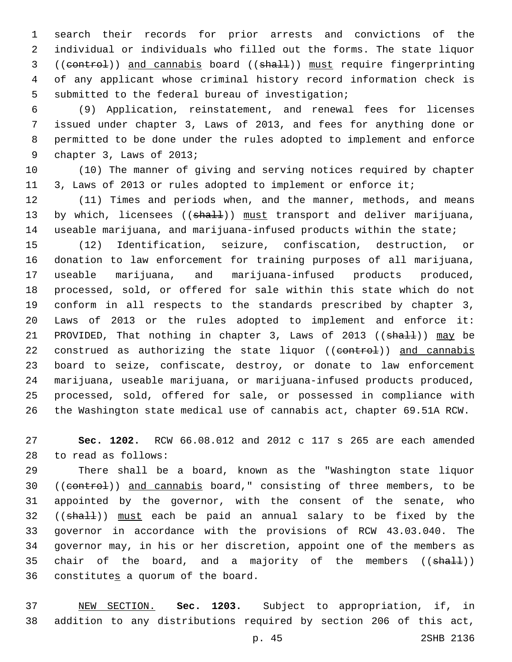search their records for prior arrests and convictions of the individual or individuals who filled out the forms. The state liquor 3 ((control)) and cannabis board ((shall)) must require fingerprinting of any applicant whose criminal history record information check is 5 submitted to the federal bureau of investigation;

 (9) Application, reinstatement, and renewal fees for licenses issued under chapter 3, Laws of 2013, and fees for anything done or permitted to be done under the rules adopted to implement and enforce 9 chapter 3, Laws of 2013;

 (10) The manner of giving and serving notices required by chapter 3, Laws of 2013 or rules adopted to implement or enforce it;

 (11) Times and periods when, and the manner, methods, and means 13 by which, licensees ((shall)) must transport and deliver marijuana, useable marijuana, and marijuana-infused products within the state;

 (12) Identification, seizure, confiscation, destruction, or donation to law enforcement for training purposes of all marijuana, 17 useable marijuana, and marijuana-infused products produced, processed, sold, or offered for sale within this state which do not conform in all respects to the standards prescribed by chapter 3, Laws of 2013 or the rules adopted to implement and enforce it: 21 PROVIDED, That nothing in chapter 3, Laws of 2013 ((shall)) may be 22 construed as authorizing the state liquor ((control)) and cannabis board to seize, confiscate, destroy, or donate to law enforcement marijuana, useable marijuana, or marijuana-infused products produced, processed, sold, offered for sale, or possessed in compliance with the Washington state medical use of cannabis act, chapter 69.51A RCW.

 **Sec. 1202.** RCW 66.08.012 and 2012 c 117 s 265 are each amended to read as follows:28

 There shall be a board, known as the "Washington state liquor 30 ((control)) and cannabis board," consisting of three members, to be appointed by the governor, with the consent of the senate, who 32 ((shall)) must each be paid an annual salary to be fixed by the governor in accordance with the provisions of RCW 43.03.040. The governor may, in his or her discretion, appoint one of the members as 35 chair of the board, and a majority of the members ((shall)) 36 constitutes a quorum of the board.

 NEW SECTION. **Sec. 1203.** Subject to appropriation, if, in addition to any distributions required by section 206 of this act,